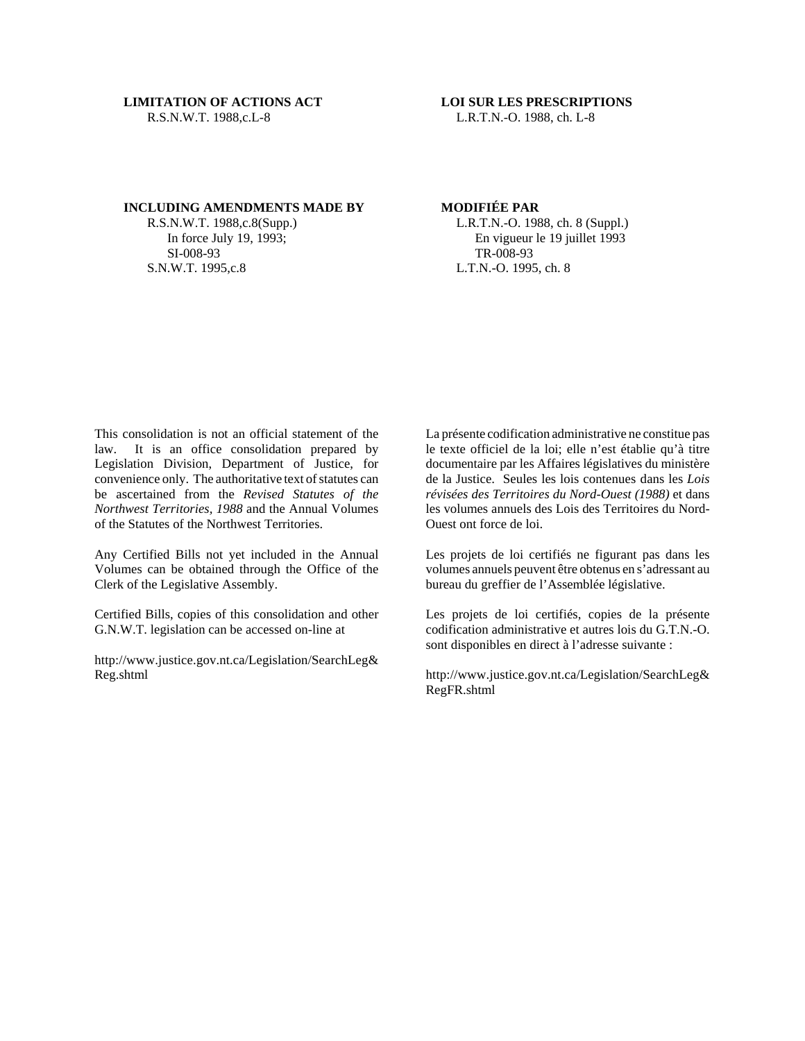L.R.T.N.-O. 1988, ch. L-8

### **INCLUDING AMENDMENTS MADE BY**

R.S.N.W.T. 1988,c.8(Supp.) In force July 19, 1993; SI-008-93 S.N.W.T. 1995,c.8

# **MODIFIÉE PAR**

L.R.T.N.-O. 1988, ch. 8 (Suppl.) En vigueur le 19 juillet 1993 TR-008-93 L.T.N.-O. 1995, ch. 8

This consolidation is not an official statement of the law. It is an office consolidation prepared by Legislation Division, Department of Justice, for convenience only. The authoritative text of statutes can be ascertained from the *Revised Statutes of the Northwest Territories, 1988* and the Annual Volumes of the Statutes of the Northwest Territories.

Any Certified Bills not yet included in the Annual Volumes can be obtained through the Office of the Clerk of the Legislative Assembly.

Certified Bills, copies of this consolidation and other G.N.W.T. legislation can be accessed on-line at

http://www.justice.gov.nt.ca/Legislation/SearchLeg& Reg.shtml

La présente codification administrative ne constitue pas le texte officiel de la loi; elle n'est établie qu'à titre documentaire par les Affaires législatives du ministère de la Justice. Seules les lois contenues dans les *Lois révisées des Territoires du Nord-Ouest (1988)* et dans les volumes annuels des Lois des Territoires du Nord-Ouest ont force de loi.

Les projets de loi certifiés ne figurant pas dans les volumes annuels peuvent être obtenus en s'adressant au bureau du greffier de l'Assemblée législative.

Les projets de loi certifiés, copies de la présente codification administrative et autres lois du G.T.N.-O. sont disponibles en direct à l'adresse suivante :

http://www.justice.gov.nt.ca/Legislation/SearchLeg& RegFR.shtml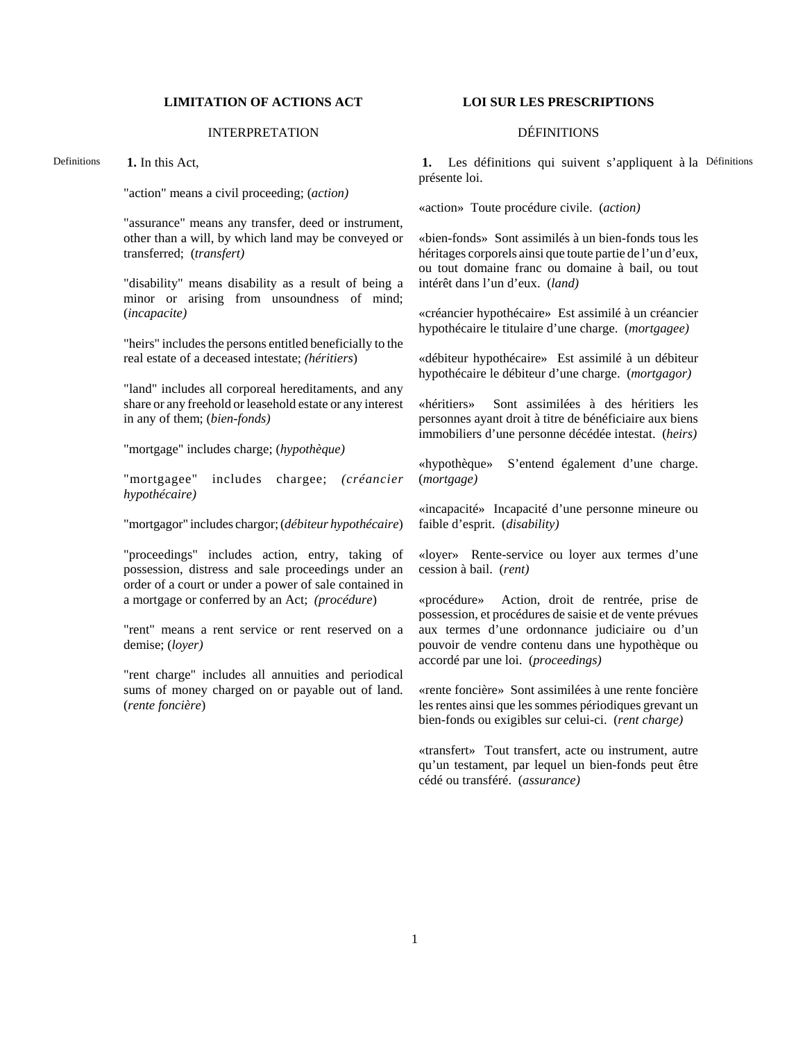# **LIMITATION OF ACTIONS ACT LOI SUR LES PRESCRIPTIONS**

## INTERPRETATION DÉFINITIONS

Definitions **1.** In this Act,

"action" means a civil proceeding; (*action)*

"assurance" means any transfer, deed or instrument, other than a will, by which land may be conveyed or transferred; (*transfert)*

"disability" means disability as a result of being a minor or arising from unsoundness of mind; (*incapacite)*

"heirs" includes the persons entitled beneficially to the real estate of a deceased intestate; *(héritiers*)

"land" includes all corporeal hereditaments, and any share or any freehold or leasehold estate or any interest in any of them; (*bien-fonds)*

"mortgage" includes charge; (*hypothèque)*

"mortgagee" includes chargee; *(créancier hypothécaire)*

"mortgagor" includes chargor; (*débiteur hypothécaire*)

"proceedings" includes action, entry, taking of possession, distress and sale proceedings under an order of a court or under a power of sale contained in a mortgage or conferred by an Act; *(procédure*)

"rent" means a rent service or rent reserved on a demise; (*loyer)*

"rent charge" includes all annuities and periodical sums of money charged on or payable out of land. (*rente foncière*)

1. Les définitions qui suivent s'appliquent à la Définitions présente loi.

«action» Toute procédure civile. (*action)*

«bien-fonds» Sont assimilés à un bien-fonds tous les héritages corporels ainsi que toute partie de l'un d'eux, ou tout domaine franc ou domaine à bail, ou tout intérêt dans l'un d'eux. (*land)*

«créancier hypothécaire» Est assimilé à un créancier hypothécaire le titulaire d'une charge. (*mortgagee)*

«débiteur hypothécaire» Est assimilé à un débiteur hypothécaire le débiteur d'une charge. (*mortgagor)*

«héritiers» Sont assimilées à des héritiers les personnes ayant droit à titre de bénéficiaire aux biens immobiliers d'une personne décédée intestat. (*heirs)*

«hypothèque» S'entend également d'une charge. (*mortgage)*

«incapacité» Incapacité d'une personne mineure ou faible d'esprit. (*disability)*

«loyer» Rente-service ou loyer aux termes d'une cession à bail. (*rent)*

«procédure» Action, droit de rentrée, prise de possession, et procédures de saisie et de vente prévues aux termes d'une ordonnance judiciaire ou d'un pouvoir de vendre contenu dans une hypothèque ou accordé par une loi. (*proceedings)*

«rente foncière» Sont assimilées à une rente foncière les rentes ainsi que les sommes périodiques grevant un bien-fonds ou exigibles sur celui-ci. (*rent charge)*

«transfert» Tout transfert, acte ou instrument, autre qu'un testament, par lequel un bien-fonds peut être cédé ou transféré. (*assurance)*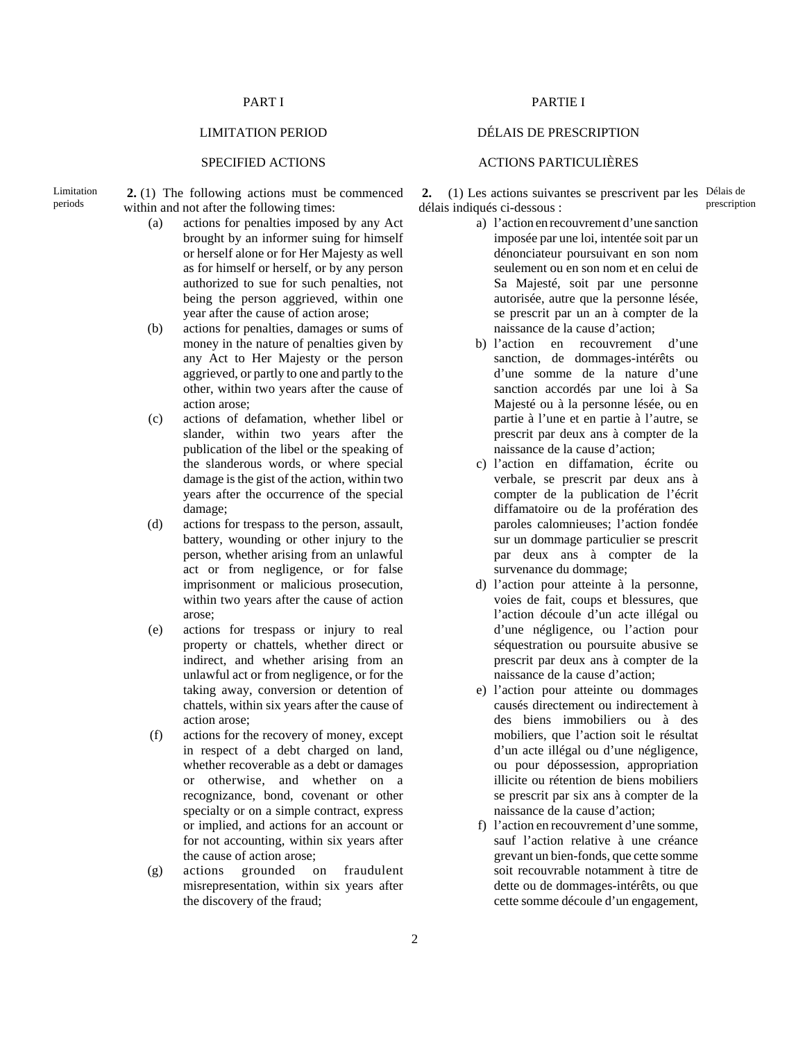**2.** (1) The following actions must be commenced within and not after the following times:

- (a) actions for penalties imposed by any Act brought by an informer suing for himself or herself alone or for Her Majesty as well as for himself or herself, or by any person authorized to sue for such penalties, not being the person aggrieved, within one year after the cause of action arose;
- (b) actions for penalties, damages or sums of money in the nature of penalties given by any Act to Her Majesty or the person aggrieved, or partly to one and partly to the other, within two years after the cause of action arose;
- (c) actions of defamation, whether libel or slander, within two years after the publication of the libel or the speaking of the slanderous words, or where special damage is the gist of the action, within two years after the occurrence of the special damage;
- (d) actions for trespass to the person, assault, battery, wounding or other injury to the person, whether arising from an unlawful act or from negligence, or for false imprisonment or malicious prosecution, within two years after the cause of action arose;
- (e) actions for trespass or injury to real property or chattels, whether direct or indirect, and whether arising from an unlawful act or from negligence, or for the taking away, conversion or detention of chattels, within six years after the cause of action arose;
- (f) actions for the recovery of money, except in respect of a debt charged on land, whether recoverable as a debt or damages or otherwise, and whether on a recognizance, bond, covenant or other specialty or on a simple contract, express or implied, and actions for an account or for not accounting, within six years after the cause of action arose;
- (g) actions grounded on fraudulent misrepresentation, within six years after the discovery of the fraud;

# PART I PARTIE I

## LIMITATION PERIOD DÉLAIS DE PRESCRIPTION

## SPECIFIED ACTIONS ACTIONS PARTICULIÈRES

**2.** (1) Les actions suivantes se prescrivent par les Délais de délais indiqués ci-dessous : prescription

- a) l'action en recouvrement d'une sanction imposée par une loi, intentée soit par un dénonciateur poursuivant en son nom seulement ou en son nom et en celui de Sa Majesté, soit par une personne autorisée, autre que la personne lésée, se prescrit par un an à compter de la naissance de la cause d'action;
- b) l'action en recouvrement d'une sanction, de dommages-intérêts ou d'une somme de la nature d'une sanction accordés par une loi à Sa Majesté ou à la personne lésée, ou en partie à l'une et en partie à l'autre, se prescrit par deux ans à compter de la naissance de la cause d'action;
- c) l'action en diffamation, écrite ou verbale, se prescrit par deux ans à compter de la publication de l'écrit diffamatoire ou de la profération des paroles calomnieuses; l'action fondée sur un dommage particulier se prescrit par deux ans à compter de la survenance du dommage;
- d) l'action pour atteinte à la personne, voies de fait, coups et blessures, que l'action découle d'un acte illégal ou d'une négligence, ou l'action pour séquestration ou poursuite abusive se prescrit par deux ans à compter de la naissance de la cause d'action;
- e) l'action pour atteinte ou dommages causés directement ou indirectement à des biens immobiliers ou à des mobiliers, que l'action soit le résultat d'un acte illégal ou d'une négligence, ou pour dépossession, appropriation illicite ou rétention de biens mobiliers se prescrit par six ans à compter de la naissance de la cause d'action;
- f) l'action en recouvrement d'une somme, sauf l'action relative à une créance grevant un bien-fonds, que cette somme soit recouvrable notamment à titre de dette ou de dommages-intérêts, ou que cette somme découle d'un engagement,

Limitation periods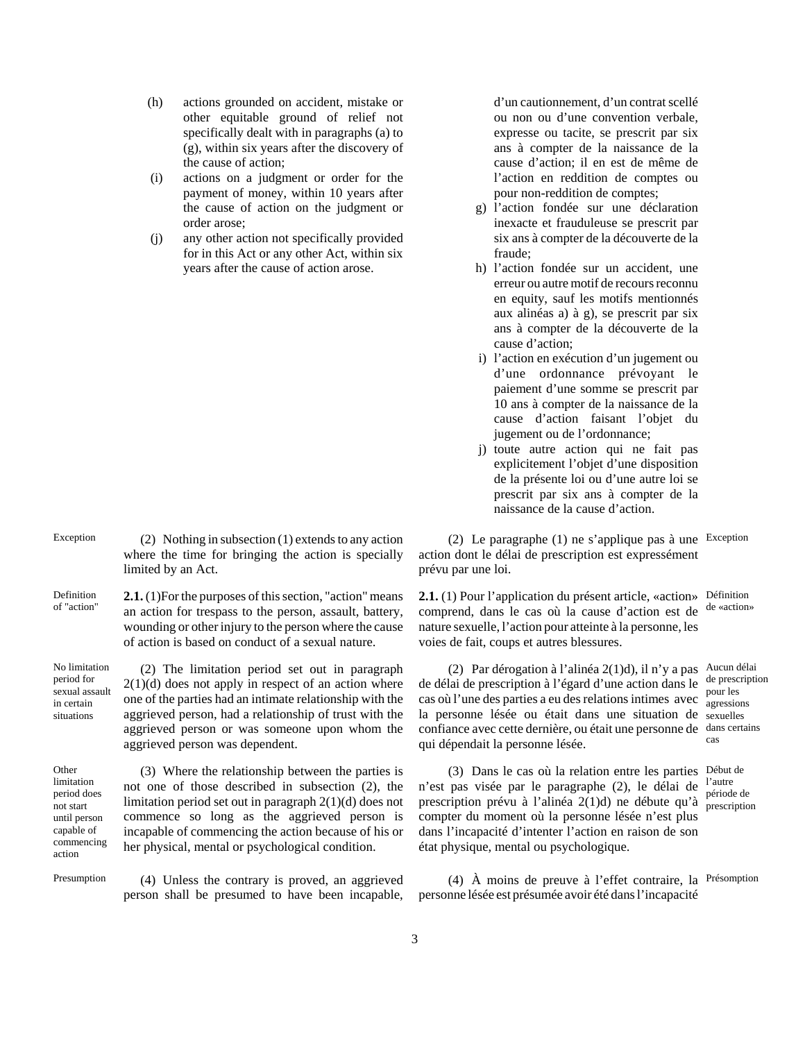- (h) actions grounded on accident, mistake or other equitable ground of relief not specifically dealt with in paragraphs (a) to (g), within six years after the discovery of the cause of action;
- (i) actions on a judgment or order for the payment of money, within 10 years after the cause of action on the judgment or order arose;
- (j) any other action not specifically provided for in this Act or any other Act, within six years after the cause of action arose.

d'un cautionnement, d'un contrat scellé ou non ou d'une convention verbale, expresse ou tacite, se prescrit par six ans à compter de la naissance de la cause d'action; il en est de même de l'action en reddition de comptes ou pour non-reddition de comptes;

- g) l'action fondée sur une déclaration inexacte et frauduleuse se prescrit par six ans à compter de la découverte de la fraude;
- h) l'action fondée sur un accident, une erreur ou autre motif de recours reconnu en equity, sauf les motifs mentionnés aux alinéas a) à g), se prescrit par six ans à compter de la découverte de la cause d'action;
- i) l'action en exécution d'un jugement ou d'une ordonnance prévoyant le paiement d'une somme se prescrit par 10 ans à compter de la naissance de la cause d'action faisant l'objet du jugement ou de l'ordonnance;
- j) toute autre action qui ne fait pas explicitement l'objet d'une disposition de la présente loi ou d'une autre loi se prescrit par six ans à compter de la naissance de la cause d'action.

(2) Le paragraphe (1) ne s'applique pas à une Exception action dont le délai de prescription est expressément prévu par une loi.

2.1. (1) Pour l'application du présent article, «action» Définition comprend, dans le cas où la cause d'action est de nature sexuelle, l'action pour atteinte à la personne, les voies de fait, coups et autres blessures.

(2) Par dérogation à l'alinéa 2(1)d), il n'y a pas Aucun délai de délai de prescription à l'égard d'une action dans le de prescription cas où l'une des parties a eu des relations intimes avec  $_{\text{a} \text{or} \text{e} \text{s}}^{\text{pour les}}$ la personne lésée ou était dans une situation de sexuelles confiance avec cette dernière, ou était une personne de dans certains qui dépendait la personne lésée. cas

(3) Dans le cas où la relation entre les parties Début de n'est pas visée par le paragraphe (2), le délai de l'autre prescription prévu à l'alinéa 2(1)d) ne débute qu'à compter du moment où la personne lésée n'est plus dans l'incapacité d'intenter l'action en raison de son état physique, mental ou psychologique.

(4) À moins de preuve à l'effet contraire, la Présomption personne lésée est présumée avoir été dans l'incapacité

Exception  $(2)$  Nothing in subsection  $(1)$  extends to any action where the time for bringing the action is specially limited by an Act.

Definition of "action" **2.1.** (1)For the purposes of this section, "action" means an action for trespass to the person, assault, battery, wounding or other injury to the person where the cause of action is based on conduct of a sexual nature.

No limitation sexual assault (2) The limitation period set out in paragraph  $2(1)(d)$  does not apply in respect of an action where one of the parties had an intimate relationship with the aggrieved person, had a relationship of trust with the aggrieved person or was someone upon whom the aggrieved person was dependent.

**Other** limitation period does not start until person capable of commencing action

period for

in certain situations

> (3) Where the relationship between the parties is not one of those described in subsection (2), the limitation period set out in paragraph 2(1)(d) does not commence so long as the aggrieved person is incapable of commencing the action because of his or her physical, mental or psychological condition.

Presumption (4) Unless the contrary is proved, an aggrieved person shall be presumed to have been incapable, de «action»

agressions

période de prescription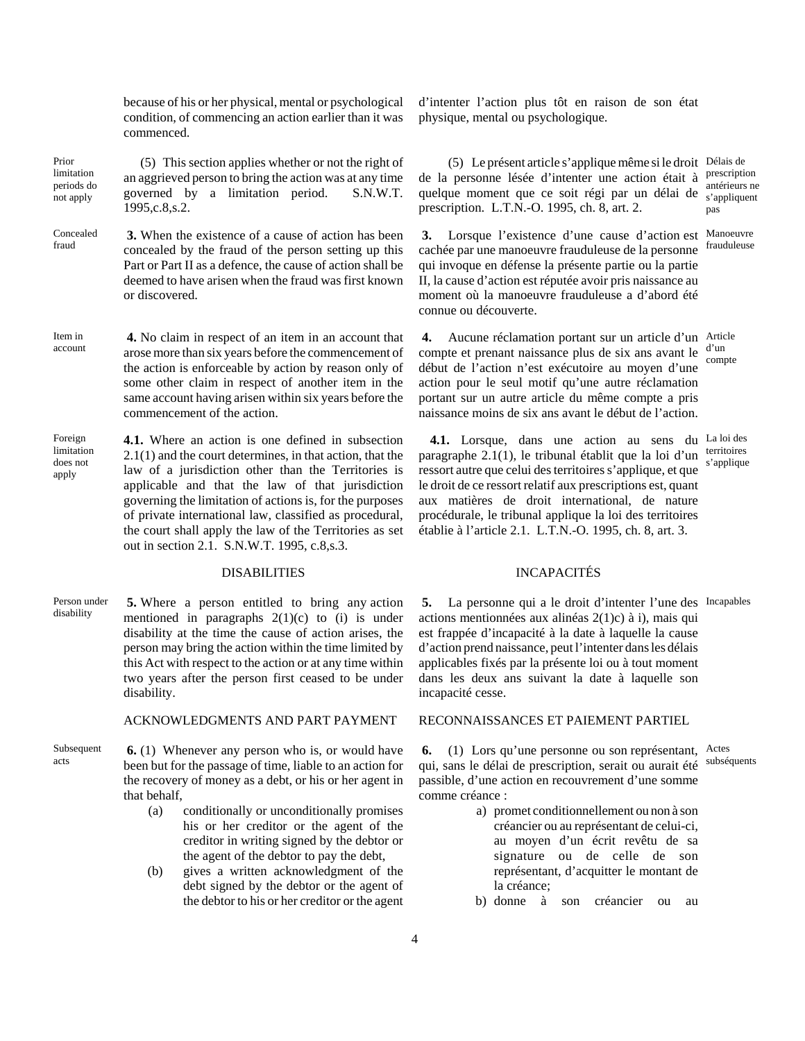because of his or her physical, mental or psychological condition, of commencing an action earlier than it was commenced.

Prior limitation periods do not apply (5) This section applies whether or not the right of an aggrieved person to bring the action was at any time governed by a limitation period. S.N.W.T. 1995,c.8,s.2.

- Concealed fraud **3.** When the existence of a cause of action has been concealed by the fraud of the person setting up this Part or Part II as a defence, the cause of action shall be deemed to have arisen when the fraud was first known or discovered.
- Item in account **4.** No claim in respect of an item in an account that arose more than six years before the commencement of the action is enforceable by action by reason only of some other claim in respect of another item in the same account having arisen within six years before the commencement of the action.
- **Foreign** limitation does not apply **4.1.** Where an action is one defined in subsection 2.1(1) and the court determines, in that action, that the law of a jurisdiction other than the Territories is applicable and that the law of that jurisdiction governing the limitation of actions is, for the purposes of private international law, classified as procedural, the court shall apply the law of the Territories as set out in section 2.1. S.N.W.T. 1995, c.8,s.3.

Person under disability **5.** Where a person entitled to bring any action mentioned in paragraphs  $2(1)(c)$  to (i) is under disability at the time the cause of action arises, the person may bring the action within the time limited by this Act with respect to the action or at any time within two years after the person first ceased to be under disability.

### ACKNOWLEDGMENTS AND PART PAYMENT RECONNAISSANCES ET PAIEMENT PARTIEL

- Subsequent acts **6.** (1) Whenever any person who is, or would have been but for the passage of time, liable to an action for the recovery of money as a debt, or his or her agent in that behalf,
	- (a) conditionally or unconditionally promises his or her creditor or the agent of the creditor in writing signed by the debtor or the agent of the debtor to pay the debt,
	- (b) gives a written acknowledgment of the debt signed by the debtor or the agent of the debtor to his or her creditor or the agent

d'intenter l'action plus tôt en raison de son état physique, mental ou psychologique.

(5) Le présent article s'applique même si le droit Délais de de la personne lésée d'intenter une action était à quelque moment que ce soit régi par un délai de prescription. L.T.N.-O. 1995, ch. 8, art. 2. prescription antérieurs ne s'appliquent pas

qui invoque en défense la présente partie ou la partie II, la cause d'action est réputée avoir pris naissance au moment où la manoeuvre frauduleuse a d'abord été

début de l'action n'est exécutoire au moyen d'une action pour le seul motif qu'une autre réclamation portant sur un autre article du même compte a pris naissance moins de six ans avant le début de l'action.

connue ou découverte.

**3.** Lorsque l'existence d'une cause d'action est Manoeuvre cachée par une manoeuvre frauduleuse de la personne frauduleuse

**4.** Aucune réclamation portant sur un article d'un Article compte et prenant naissance plus de six ans avant le  $\frac{d' \text{un}}{dx}$ compte

4.1. Lorsque, dans une action au sens du La loi des paragraphe  $2.1(1)$ , le tribunal établit que la loi d'un territoires ressort autre que celui des territoires s'applique, et que le droit de ce ressort relatif aux prescriptions est, quant aux matières de droit international, de nature procédurale, le tribunal applique la loi des territoires établie à l'article 2.1. L.T.N.-O. 1995, ch. 8, art. 3. s'applique

### DISABILITIES INCAPACITÉS

**5.** La personne qui a le droit d'intenter l'une des Incapables actions mentionnées aux alinéas 2(1)c) à i), mais qui est frappée d'incapacité à la date à laquelle la cause d'action prend naissance, peut l'intenter dans les délais applicables fixés par la présente loi ou à tout moment dans les deux ans suivant la date à laquelle son incapacité cesse.

**6.** (1) Lors qu'une personne ou son représentant, Actes qui, sans le délai de prescription, serait ou aurait été passible, d'une action en recouvrement d'une somme comme créance : subséquents

- a) promet conditionnellement ou non à son créancier ou au représentant de celui-ci, au moyen d'un écrit revêtu de sa signature ou de celle de son représentant, d'acquitter le montant de la créance;
- b) donne à son créancier ou au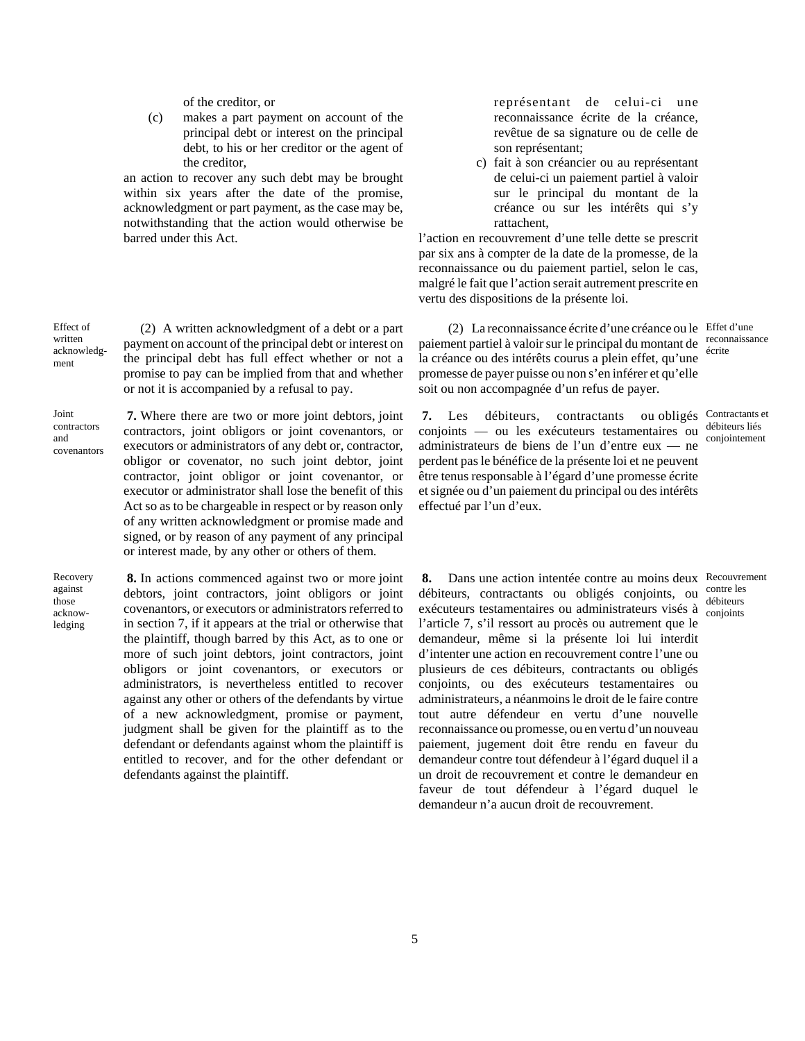of the creditor, or

(c) makes a part payment on account of the principal debt or interest on the principal debt, to his or her creditor or the agent of the creditor,

an action to recover any such debt may be brought within six years after the date of the promise, acknowledgment or part payment, as the case may be, notwithstanding that the action would otherwise be barred under this Act.

représentant de celui-ci une reconnaissance écrite de la créance, revêtue de sa signature ou de celle de son représentant;

c) fait à son créancier ou au représentant de celui-ci un paiement partiel à valoir sur le principal du montant de la créance ou sur les intérêts qui s'y rattachent,

l'action en recouvrement d'une telle dette se prescrit par six ans à compter de la date de la promesse, de la reconnaissance ou du paiement partiel, selon le cas, malgré le fait que l'action serait autrement prescrite en vertu des dispositions de la présente loi.

(2) La reconnaissance écrite d'une créance ou le Effet d'une paiement partiel à valoir sur le principal du montant de reconnaissance la créance ou des intérêts courus a plein effet, qu'une promesse de payer puisse ou non s'en inférer et qu'elle soit ou non accompagnée d'un refus de payer.

**7.** Les débiteurs, contractants conjoints — ou les exécuteurs testamentaires ou administrateurs de biens de l'un d'entre eux — ne perdent pas le bénéfice de la présente loi et ne peuvent être tenus responsable à l'égard d'une promesse écrite et signée ou d'un paiement du principal ou des intérêts effectué par l'un d'eux.

écrite

ou obligés Contractants et débiteurs liés conjointement

**8.** Dans une action intentée contre au moins deux Recouvrement débiteurs, contractants ou obligés conjoints, ou exécuteurs testamentaires ou administrateurs visés à l'article 7, s'il ressort au procès ou autrement que le demandeur, même si la présente loi lui interdit d'intenter une action en recouvrement contre l'une ou plusieurs de ces débiteurs, contractants ou obligés conjoints, ou des exécuteurs testamentaires ou administrateurs, a néanmoins le droit de le faire contre tout autre défendeur en vertu d'une nouvelle reconnaissance ou promesse, ou en vertu d'un nouveau paiement, jugement doit être rendu en faveur du demandeur contre tout défendeur à l'égard duquel il a un droit de recouvrement et contre le demandeur en faveur de tout défendeur à l'égard duquel le demandeur n'a aucun droit de recouvrement.

contre les débiteurs conjoints

(2) A written acknowledgment of a debt or a part payment on account of the principal debt or interest on the principal debt has full effect whether or not a promise to pay can be implied from that and whether or not it is accompanied by a refusal to pay.

Joint contractors and covenantors

Effect of written acknowledgment

> **7.** Where there are two or more joint debtors, joint contractors, joint obligors or joint covenantors, or executors or administrators of any debt or, contractor, obligor or covenator, no such joint debtor, joint contractor, joint obligor or joint covenantor, or executor or administrator shall lose the benefit of this Act so as to be chargeable in respect or by reason only of any written acknowledgment or promise made and signed, or by reason of any payment of any principal or interest made, by any other or others of them.

Recovery against those acknowledging

**8.** In actions commenced against two or more joint debtors, joint contractors, joint obligors or joint covenantors, or executors or administrators referred to in section 7, if it appears at the trial or otherwise that the plaintiff, though barred by this Act, as to one or more of such joint debtors, joint contractors, joint obligors or joint covenantors, or executors or administrators, is nevertheless entitled to recover against any other or others of the defendants by virtue of a new acknowledgment, promise or payment, judgment shall be given for the plaintiff as to the defendant or defendants against whom the plaintiff is entitled to recover, and for the other defendant or defendants against the plaintiff.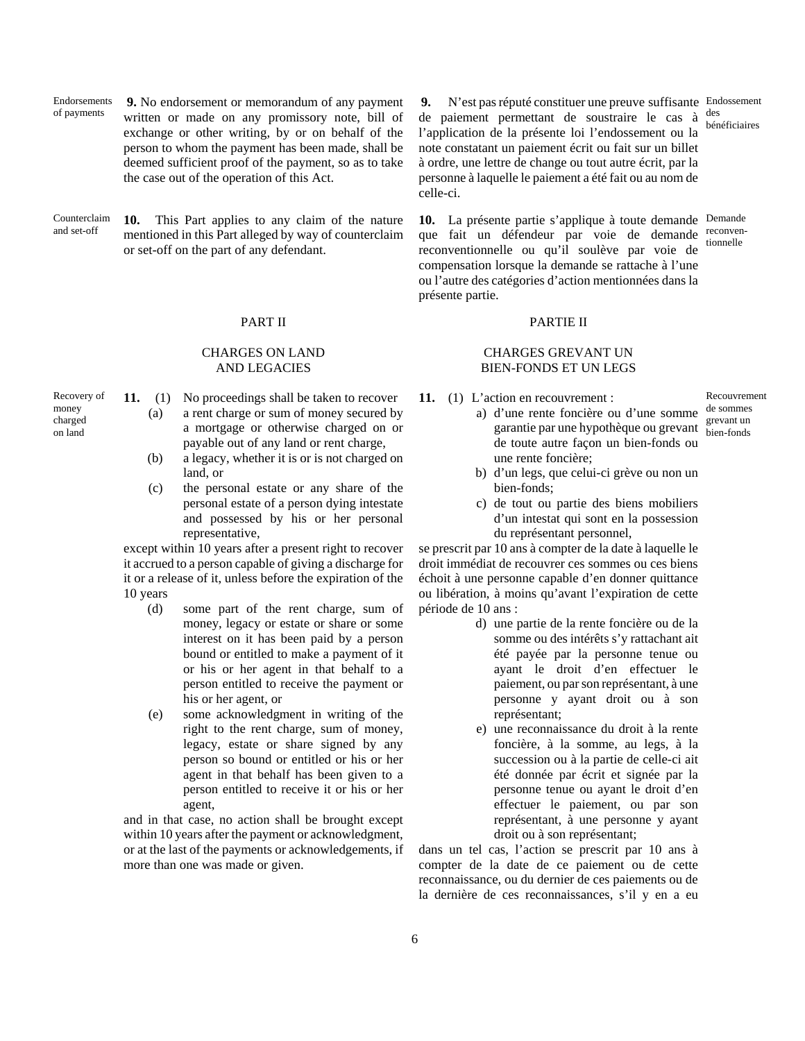Endorsements of payments **9.** No endorsement or memorandum of any payment written or made on any promissory note, bill of exchange or other writing, by or on behalf of the person to whom the payment has been made, shall be deemed sufficient proof of the payment, so as to take the case out of the operation of this Act.

Counterclaim and set-off **10.** This Part applies to any claim of the nature mentioned in this Part alleged by way of counterclaim or set-off on the part of any defendant.

### CHARGES ON LAND AND LEGACIES

- **11.** (1) No proceedings shall be taken to recover (a) a rent charge or sum of money secured by a mortgage or otherwise charged on or payable out of any land or rent charge,
	- (b) a legacy, whether it is or is not charged on land, or
	- (c) the personal estate or any share of the personal estate of a person dying intestate and possessed by his or her personal representative,

except within 10 years after a present right to recover it accrued to a person capable of giving a discharge for it or a release of it, unless before the expiration of the 10 years

- (d) some part of the rent charge, sum of money, legacy or estate or share or some interest on it has been paid by a person bound or entitled to make a payment of it or his or her agent in that behalf to a person entitled to receive the payment or his or her agent, or
- (e) some acknowledgment in writing of the right to the rent charge, sum of money, legacy, estate or share signed by any person so bound or entitled or his or her agent in that behalf has been given to a person entitled to receive it or his or her agent,

and in that case, no action shall be brought except within 10 years after the payment or acknowledgment, or at the last of the payments or acknowledgements, if more than one was made or given.

**9.** N'est pas réputé constituer une preuve suffisante Endossement de paiement permettant de soustraire le cas à  $\frac{des}{des}$ l'application de la présente loi l'endossement ou la note constatant un paiement écrit ou fait sur un billet à ordre, une lettre de change ou tout autre écrit, par la personne à laquelle le paiement a été fait ou au nom de celle-ci.

**10.** La présente partie s'applique à toute demande Demande que fait un défendeur par voie de demande reconvenreconventionnelle ou qu'il soulève par voie de compensation lorsque la demande se rattache à l'une ou l'autre des catégories d'action mentionnées dans la présente partie. tionnelle

### PART II PARTIE II

## CHARGES GREVANT UN BIEN-FONDS ET UN LEGS

**11.** (1) L'action en recouvrement :

a) d'une rente foncière ou d'une somme de sommes Recouvrement grevant un bien-fonds

- garantie par une hypothèque ou grevant de toute autre façon un bien-fonds ou une rente foncière;
- b) d'un legs, que celui-ci grève ou non un bien-fonds;
- c) de tout ou partie des biens mobiliers d'un intestat qui sont en la possession du représentant personnel,

se prescrit par 10 ans à compter de la date à laquelle le droit immédiat de recouvrer ces sommes ou ces biens échoit à une personne capable d'en donner quittance ou libération, à moins qu'avant l'expiration de cette période de 10 ans :

- d) une partie de la rente foncière ou de la somme ou des intérêts s'y rattachant ait été payée par la personne tenue ou ayant le droit d'en effectuer le paiement, ou par son représentant, à une personne y ayant droit ou à son représentant;
- e) une reconnaissance du droit à la rente foncière, à la somme, au legs, à la succession ou à la partie de celle-ci ait été donnée par écrit et signée par la personne tenue ou ayant le droit d'en effectuer le paiement, ou par son représentant, à une personne y ayant droit ou à son représentant;

dans un tel cas, l'action se prescrit par 10 ans à compter de la date de ce paiement ou de cette reconnaissance, ou du dernier de ces paiements ou de la dernière de ces reconnaissances, s'il y en a eu

## Recovery of money charged

on land

bénéficiaires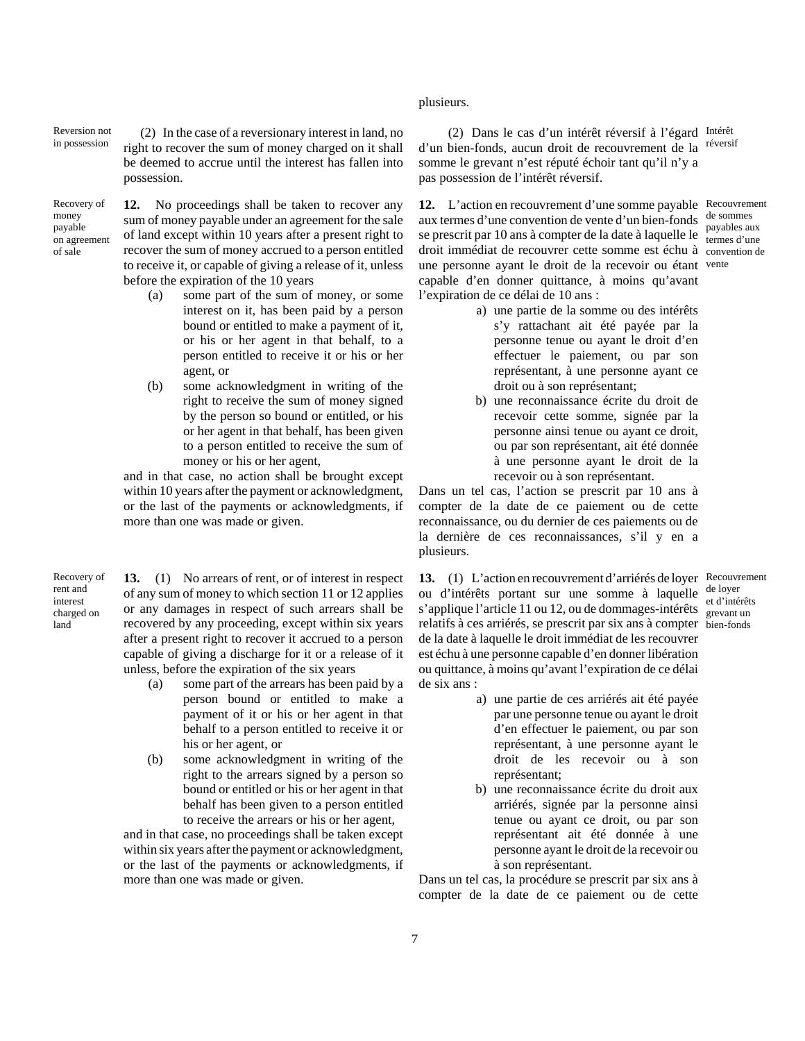## plusieurs.

(2) Dans le cas d'un intérêt réversif à l'égard Intérêt d'un bien-fonds, aucun droit de recouvrement de la réversif somme le grevant n'est réputé échoir tant qu'il n'y a pas possession de l'intérêt réversif.

12. L'action en recouvrement d'une somme payable Recouvrement aux termes d'une convention de vente d'un bien-fonds se prescrit par 10 ans à compter de la date à laquelle le remes d'une droit immédiat de recouvrer cette somme est échu à convention de une personne ayant le droit de la recevoir ou étant vente capable d'en donner quittance, à moins qu'avant l'expiration de ce délai de 10 ans :

de sommes payables aux

Reversion not Reversion not (2) In the case of a reversionary interest in land, no<br>in possession  $\phi$  right to goographic sum of monor shaped on it shall right to recover the sum of money charged on it shall be deemed to accrue until the interest has fallen into possession.

Recovery of money payable on agreement of sale

**12.** No proceedings shall be taken to recover any sum of money payable under an agreement for the sale of land except within 10 years after a present right to recover the sum of money accrued to a person entitled to receive it, or capable of giving a release of it, unless before the expiration of the 10 years

- (a) some part of the sum of money, or some interest on it, has been paid by a person bound or entitled to make a payment of it, or his or her agent in that behalf, to a person entitled to receive it or his or her agent, or
- (b) some acknowledgment in writing of the right to receive the sum of money signed by the person so bound or entitled, or his or her agent in that behalf, has been given to a person entitled to receive the sum of money or his or her agent,

and in that case, no action shall be brought except within 10 years after the payment or acknowledgment, or the last of the payments or acknowledgments, if more than one was made or given.

Recovery of rent and interest charged on land

**13.** (1) No arrears of rent, or of interest in respect of any sum of money to which section 11 or 12 applies or any damages in respect of such arrears shall be recovered by any proceeding, except within six years after a present right to recover it accrued to a person capable of giving a discharge for it or a release of it unless, before the expiration of the six years

- (a) some part of the arrears has been paid by a person bound or entitled to make a payment of it or his or her agent in that behalf to a person entitled to receive it or his or her agent, or
- (b) some acknowledgment in writing of the right to the arrears signed by a person so bound or entitled or his or her agent in that behalf has been given to a person entitled to receive the arrears or his or her agent,

and in that case, no proceedings shall be taken except within six years after the payment or acknowledgment, or the last of the payments or acknowledgments, if more than one was made or given.

a) une partie de la somme ou des intérêts s'y rattachant ait été payée par la personne tenue ou ayant le droit d'en effectuer le paiement, ou par son représentant, à une personne ayant ce droit ou à son représentant;

b) une reconnaissance écrite du droit de recevoir cette somme, signée par la personne ainsi tenue ou ayant ce droit, ou par son représentant, ait été donnée à une personne ayant le droit de la recevoir ou à son représentant.

Dans un tel cas, l'action se prescrit par 10 ans à compter de la date de ce paiement ou de cette reconnaissance, ou du dernier de ces paiements ou de la dernière de ces reconnaissances, s'il y en a plusieurs.

13. (1) L'action en recouvrement d'arriérés de loyer Recouvrement ou d'intérêts portant sur une somme à laquelle s'applique l'article 11 ou 12, ou de dommages-intérêts revent un relatifs à ces arriérés, se prescrit par six ans à compter bien-fonds de la date à laquelle le droit immédiat de les recouvrer est échu à une personne capable d'en donner libération ou quittance, à moins qu'avant l'expiration de ce délai de six ans :

- de loyer<br>et d'intérêts grevant un
- a) une partie de ces arriérés ait été payée par une personne tenue ou ayant le droit d'en effectuer le paiement, ou par son représentant, à une personne ayant le droit de les recevoir ou à son représentant;
- b) une reconnaissance écrite du droit aux arriérés, signée par la personne ainsi tenue ou ayant ce droit, ou par son représentant ait été donnée à une personne ayant le droit de la recevoir ou à son représentant.

Dans un tel cas, la procédure se prescrit par six ans à compter de la date de ce paiement ou de cette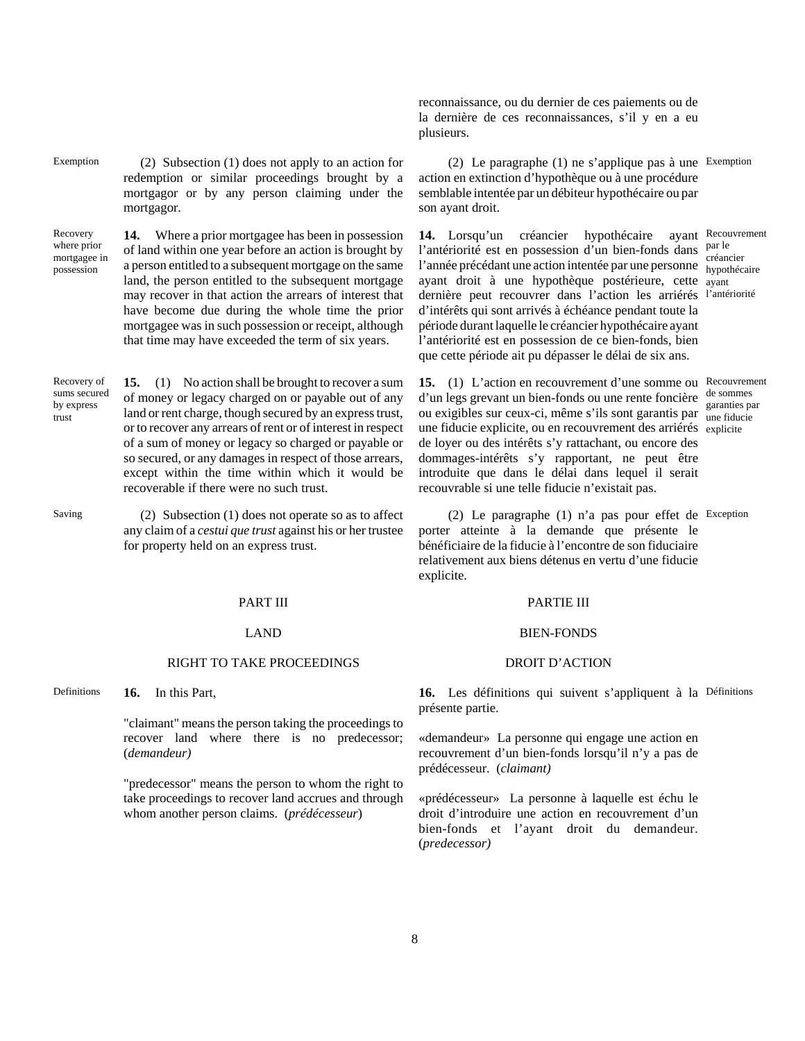Exemption  $(2)$  Subsection  $(1)$  does not apply to an action for redemption or similar proceedings brought by a mortgagor or by any person claiming under the mortgagor.

Recovery where prior mortgagee in possession **14.** Where a prior mortgagee has been in possession of land within one year before an action is brought by a person entitled to a subsequent mortgage on the same land, the person entitled to the subsequent mortgage may recover in that action the arrears of interest that have become due during the whole time the prior mortgagee was in such possession or receipt, although

Recovery of sums secured **15.** (1) No action shall be brought to recover a sum of money or legacy charged on or payable out of any land or rent charge, though secured by an express trust, or to recover any arrears of rent or of interest in respect of a sum of money or legacy so charged or payable or so secured, or any damages in respect of those arrears, except within the time within which it would be recoverable if there were no such trust.

that time may have exceeded the term of six years.

by express trust

Saving (2) Subsection (1) does not operate so as to affect any claim of a *cestui que trust* against his or her trustee for property held on an express trust.

### RIGHT TO TAKE PROCEEDINGS DROIT D'ACTION

Definitions **16.** In this Part,

"claimant" means the person taking the proceedings to recover land where there is no predecessor; (*demandeur)*

"predecessor" means the person to whom the right to take proceedings to recover land accrues and through whom another person claims. (*prédécesseur*)

reconnaissance, ou du dernier de ces paiements ou de la dernière de ces reconnaissances, s'il y en a eu plusieurs.

(2) Le paragraphe (1) ne s'applique pas à une Exemption action en extinction d'hypothèque ou à une procédure semblable intentée par un débiteur hypothécaire ou par son ayant droit.

**14.** Lorsqu'un créancier hypothécaire l'antériorité est en possession d'un bien-fonds dans par le l'année précédant une action intentée par une personne bypartier ayant droit à une hypothèque postérieure, cette ayant dernière peut recouvrer dans l'action les arriérés l'antériorité d'intérêts qui sont arrivés à échéance pendant toute la période durant laquelle le créancier hypothécaire ayant l'antériorité est en possession de ce bien-fonds, bien que cette période ait pu dépasser le délai de six ans. ayant Recouvrement hypothécaire

15. (1) L'action en recouvrement d'une somme ou Recouvrement d'un legs grevant un bien-fonds ou une rente foncière ou exigibles sur ceux-ci, même s'ils sont garantis par garanties par une fiducie explicite, ou en recouvrement des arriérés explicite de loyer ou des intérêts s'y rattachant, ou encore des dommages-intérêts s'y rapportant, ne peut être introduite que dans le délai dans lequel il serait recouvrable si une telle fiducie n'existait pas. de sommes une fiducie

(2) Le paragraphe (1) n'a pas pour effet de Exception porter atteinte à la demande que présente le bénéficiaire de la fiducie à l'encontre de son fiduciaire relativement aux biens détenus en vertu d'une fiducie explicite.

### PART III PARTIE III

### LAND BIEN-FONDS

16. Les définitions qui suivent s'appliquent à la Définitions présente partie.

«demandeur» La personne qui engage une action en recouvrement d'un bien-fonds lorsqu'il n'y a pas de prédécesseur. (*claimant)*

«prédécesseur» La personne à laquelle est échu le droit d'introduire une action en recouvrement d'un bien-fonds et l'ayant droit du demandeur. (*predecessor)*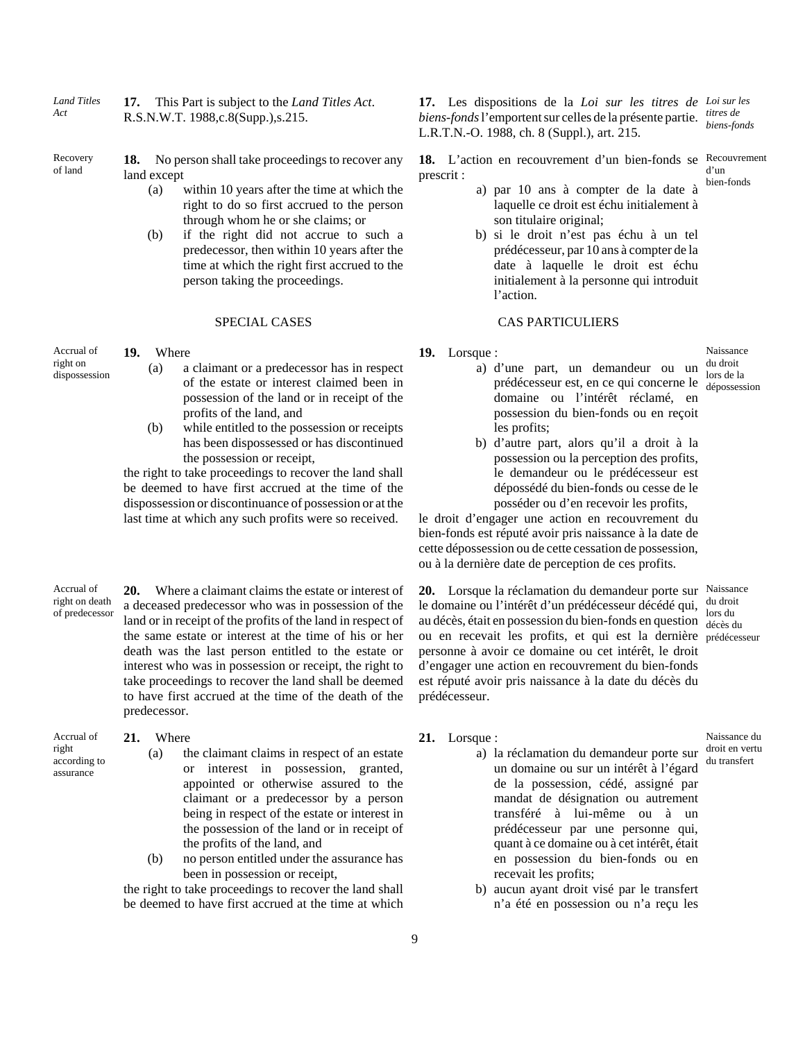*Land Titles Act* **17.** This Part is subject to the *Land Titles Act*. R.S.N.W.T. 1988,c.8(Supp.),s.215.

Recovery of land

**18.** No person shall take proceedings to recover any land except

- (a) within 10 years after the time at which the right to do so first accrued to the person through whom he or she claims; or
- (b) if the right did not accrue to such a predecessor, then within 10 years after the time at which the right first accrued to the person taking the proceedings.

Accrual of right on dispossession

**19.** Where

- (a) a claimant or a predecessor has in respect of the estate or interest claimed been in possession of the land or in receipt of the profits of the land, and
- (b) while entitled to the possession or receipts has been dispossessed or has discontinued the possession or receipt,

the right to take proceedings to recover the land shall be deemed to have first accrued at the time of the dispossession or discontinuance of possession or at the last time at which any such profits were so received.

Accrual of right on death of predecessor **20.** Where a claimant claims the estate or interest of a deceased predecessor who was in possession of the land or in receipt of the profits of the land in respect of the same estate or interest at the time of his or her death was the last person entitled to the estate or interest who was in possession or receipt, the right to take proceedings to recover the land shall be deemed to have first accrued at the time of the death of the predecessor.

Accrual of right according to assurance

### **21.** Where

- (a) the claimant claims in respect of an estate or interest in possession, granted, appointed or otherwise assured to the claimant or a predecessor by a person being in respect of the estate or interest in the possession of the land or in receipt of the profits of the land, and
- (b) no person entitled under the assurance has been in possession or receipt,

the right to take proceedings to recover the land shall be deemed to have first accrued at the time at which

**17.** Les dispositions de la *Loi sur les titres de Loi sur les biens-fonds* l'emportent sur celles de la présente partie. L.R.T.N.-O. 1988, ch. 8 (Suppl.), art. 215. *titres de biens-fonds*

**18.** L'action en recouvrement d'un bien-fonds se Recouvrement prescrit : d'un bien-fonds

- a) par 10 ans à compter de la date à laquelle ce droit est échu initialement à son titulaire original;
- b) si le droit n'est pas échu à un tel prédécesseur, par 10 ans à compter de la date à laquelle le droit est échu initialement à la personne qui introduit l'action.

### SPECIAL CASES CAS PARTICULIERS

- **19.** Lorsque :
	- a) d'une part, un demandeur ou un prédécesseur est, en ce qui concerne le dépossession domaine ou l'intérêt réclamé, en possession du bien-fonds ou en reçoit les profits;

Naissance du droit lors de la

b) d'autre part, alors qu'il a droit à la possession ou la perception des profits, le demandeur ou le prédécesseur est dépossédé du bien-fonds ou cesse de le posséder ou d'en recevoir les profits,

le droit d'engager une action en recouvrement du bien-fonds est réputé avoir pris naissance à la date de cette dépossession ou de cette cessation de possession, ou à la dernière date de perception de ces profits.

**20.** Lorsque la réclamation du demandeur porte sur Naissance le domaine ou l'intérêt d'un prédécesseur décédé qui, au décès, était en possession du bien-fonds en question  $\frac{\text{obs}}{\text{décès}}$ ou en recevait les profits, et qui est la dernière prédécesseur personne à avoir ce domaine ou cet intérêt, le droit d'engager une action en recouvrement du bien-fonds est réputé avoir pris naissance à la date du décès du prédécesseur. du droit lors du

### **21.** Lorsque :

- a) la réclamation du demandeur porte sur un domaine ou sur un intérêt à l'égard de la possession, cédé, assigné par mandat de désignation ou autrement transféré à lui-même ou à un prédécesseur par une personne qui, quant à ce domaine ou à cet intérêt, était en possession du bien-fonds ou en recevait les profits;
	- b) aucun ayant droit visé par le transfert n'a été en possession ou n'a reçu les

Naissance du droit en vertu du transfert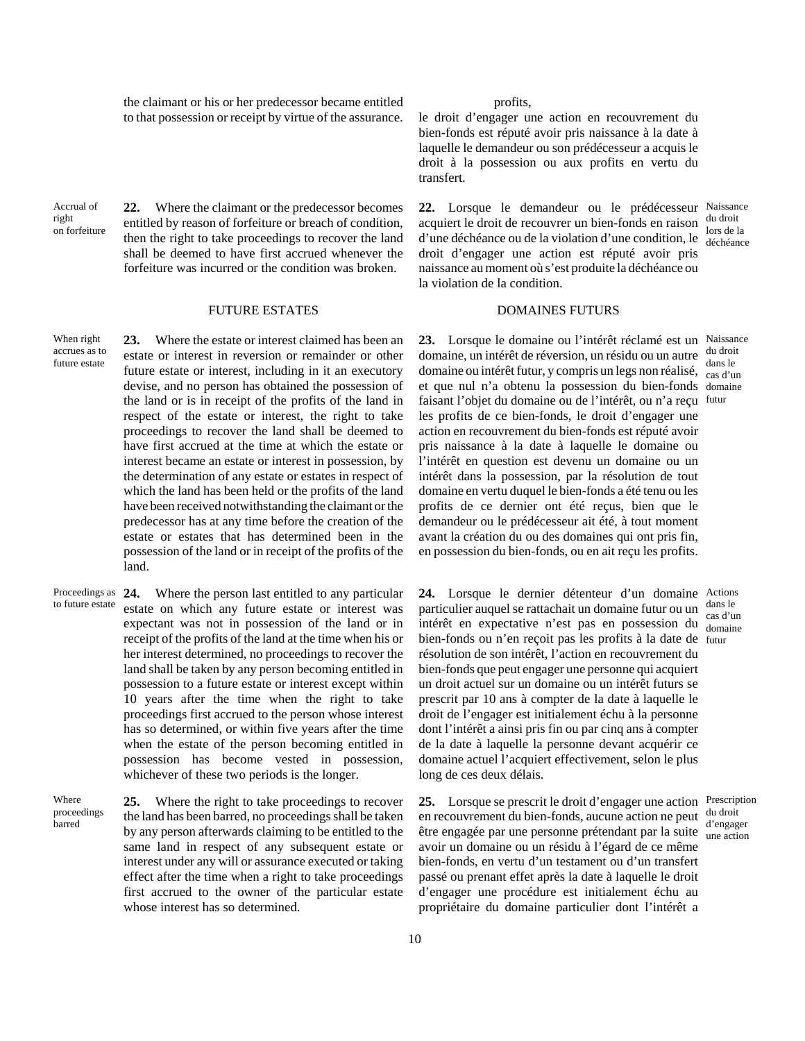the claimant or his or her predecessor became entitled to that possession or receipt by virtue of the assurance.

Accrual of right on forfeiture

When right

future estate

**22.** Where the claimant or the predecessor becomes entitled by reason of forfeiture or breach of condition, then the right to take proceedings to recover the land shall be deemed to have first accrued whenever the forfeiture was incurred or the condition was broken.

accrues as to **23.** Where the estate or interest claimed has been an estate or interest in reversion or remainder or other future estate or interest, including in it an executory devise, and no person has obtained the possession of the land or is in receipt of the profits of the land in respect of the estate or interest, the right to take proceedings to recover the land shall be deemed to have first accrued at the time at which the estate or interest became an estate or interest in possession, by the determination of any estate or estates in respect of which the land has been held or the profits of the land have been received notwithstanding the claimant or the predecessor has at any time before the creation of the estate or estates that has determined been in the possession of the land or in receipt of the profits of the land.

Proceedings as 24. to future estate **24.** Where the person last entitled to any particular estate on which any future estate or interest was expectant was not in possession of the land or in receipt of the profits of the land at the time when his or her interest determined, no proceedings to recover the land shall be taken by any person becoming entitled in possession to a future estate or interest except within 10 years after the time when the right to take proceedings first accrued to the person whose interest has so determined, or within five years after the time when the estate of the person becoming entitled in possession has become vested in possession, whichever of these two periods is the longer.

Where proceedings barred **25.** Where the right to take proceedings to recover the land has been barred, no proceedings shall be taken by any person afterwards claiming to be entitled to the same land in respect of any subsequent estate or interest under any will or assurance executed or taking effect after the time when a right to take proceedings first accrued to the owner of the particular estate whose interest has so determined.

### profits,

le droit d'engager une action en recouvrement du bien-fonds est réputé avoir pris naissance à la date à laquelle le demandeur ou son prédécesseur a acquis le droit à la possession ou aux profits en vertu du transfert.

**22.** Lorsque le demandeur ou le prédécesseur Naissance acquiert le droit de recouvrer un bien-fonds en raison du droit d'une déchéance ou de la violation d'une condition, le  $\frac{\text{loss}}{\text{dechéance}}$ droit d'engager une action est réputé avoir pris naissance au moment où s'est produite la déchéance ou la violation de la condition. lors de la

### FUTURE ESTATES DOMAINES FUTURS

**23.** Lorsque le domaine ou l'intérêt réclamé est un Naissance domaine, un intérêt de réversion, un résidu ou un autre domaine ou intérêt futur, y compris un legs non réalisé, cas d'un et que nul n'a obtenu la possession du bien-fonds domaine faisant l'objet du domaine ou de l'intérêt, ou n'a reçu futur les profits de ce bien-fonds, le droit d'engager une action en recouvrement du bien-fonds est réputé avoir pris naissance à la date à laquelle le domaine ou l'intérêt en question est devenu un domaine ou un intérêt dans la possession, par la résolution de tout domaine en vertu duquel le bien-fonds a été tenu ou les profits de ce dernier ont été reçus, bien que le demandeur ou le prédécesseur ait été, à tout moment avant la création du ou des domaines qui ont pris fin, en possession du bien-fonds, ou en ait reçu les profits. du droit dans le

**24.** Lorsque le dernier détenteur d'un domaine Actions particulier auquel se rattachait un domaine futur ou un intérêt en expectative n'est pas en possession du domaine bien-fonds ou n'en reçoit pas les profits à la date de futur résolution de son intérêt, l'action en recouvrement du bien-fonds que peut engager une personne qui acquiert un droit actuel sur un domaine ou un intérêt futurs se prescrit par 10 ans à compter de la date à laquelle le droit de l'engager est initialement échu à la personne dont l'intérêt a ainsi pris fin ou par cinq ans à compter de la date à laquelle la personne devant acquérir ce domaine actuel l'acquiert effectivement, selon le plus long de ces deux délais.

**25.** Lorsque se prescrit le droit d'engager une action Prescription en recouvrement du bien-fonds, aucune action ne peut être engagée par une personne prétendant par la suite avoir un domaine ou un résidu à l'égard de ce même bien-fonds, en vertu d'un testament ou d'un transfert passé ou prenant effet après la date à laquelle le droit d'engager une procédure est initialement échu au propriétaire du domaine particulier dont l'intérêt a

dans le cas d'un

du droit d'engager une action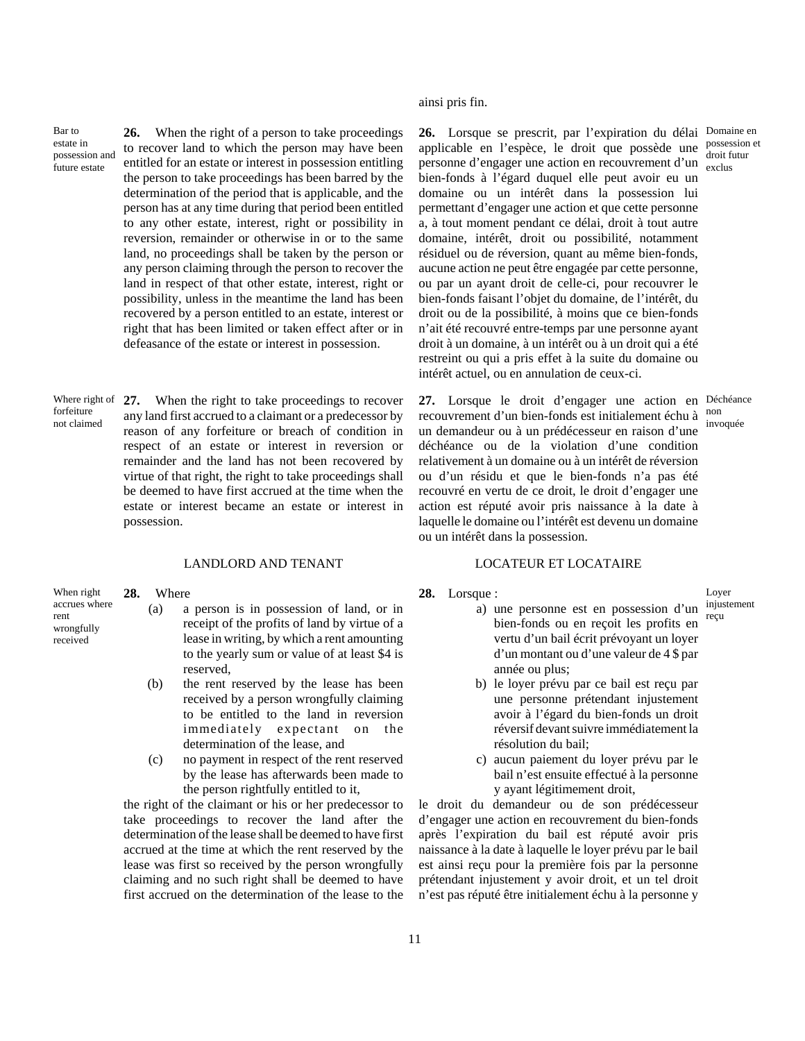Bar to estate in possession and future estate

**26.** When the right of a person to take proceedings to recover land to which the person may have been entitled for an estate or interest in possession entitling the person to take proceedings has been barred by the determination of the period that is applicable, and the person has at any time during that period been entitled to any other estate, interest, right or possibility in reversion, remainder or otherwise in or to the same land, no proceedings shall be taken by the person or any person claiming through the person to recover the land in respect of that other estate, interest, right or possibility, unless in the meantime the land has been recovered by a person entitled to an estate, interest or right that has been limited or taken effect after or in defeasance of the estate or interest in possession.

Where right of forfeiture not claimed **27.** When the right to take proceedings to recover any land first accrued to a claimant or a predecessor by reason of any forfeiture or breach of condition in respect of an estate or interest in reversion or remainder and the land has not been recovered by virtue of that right, the right to take proceedings shall be deemed to have first accrued at the time when the estate or interest became an estate or interest in possession.

## LANDLORD AND TENANT LOCATEUR ET LOCATAIRE

When right accrues where rent wrongfully received

**28.** Where

- (a) a person is in possession of land, or in receipt of the profits of land by virtue of a lease in writing, by which a rent amounting to the yearly sum or value of at least \$4 is reserved,
- (b) the rent reserved by the lease has been received by a person wrongfully claiming to be entitled to the land in reversion immediately expectant on the determination of the lease, and
- (c) no payment in respect of the rent reserved by the lease has afterwards been made to the person rightfully entitled to it,

the right of the claimant or his or her predecessor to take proceedings to recover the land after the determination of the lease shall be deemed to have first accrued at the time at which the rent reserved by the lease was first so received by the person wrongfully claiming and no such right shall be deemed to have first accrued on the determination of the lease to the

ainsi pris fin.

26. Lorsque se prescrit, par l'expiration du délai Domaine en applicable en l'espèce, le droit que possède une personne d'engager une action en recouvrement d'un bien-fonds à l'égard duquel elle peut avoir eu un domaine ou un intérêt dans la possession lui permettant d'engager une action et que cette personne a, à tout moment pendant ce délai, droit à tout autre domaine, intérêt, droit ou possibilité, notamment résiduel ou de réversion, quant au même bien-fonds, aucune action ne peut être engagée par cette personne, ou par un ayant droit de celle-ci, pour recouvrer le bien-fonds faisant l'objet du domaine, de l'intérêt, du droit ou de la possibilité, à moins que ce bien-fonds n'ait été recouvré entre-temps par une personne ayant droit à un domaine, à un intérêt ou à un droit qui a été restreint ou qui a pris effet à la suite du domaine ou intérêt actuel, ou en annulation de ceux-ci.

**27.** Lorsque le droit d'engager une action en Déchéance recouvrement d'un bien-fonds est initialement échu à non un demandeur ou à un prédécesseur en raison d'une déchéance ou de la violation d'une condition relativement à un domaine ou à un intérêt de réversion ou d'un résidu et que le bien-fonds n'a pas été recouvré en vertu de ce droit, le droit d'engager une action est réputé avoir pris naissance à la date à laquelle le domaine ou l'intérêt est devenu un domaine ou un intérêt dans la possession. invoquée

**28.** Lorsque :

Loyer injustement

reçu

- a) une personne est en possession d'un bien-fonds ou en reçoit les profits en vertu d'un bail écrit prévoyant un loyer d'un montant ou d'une valeur de 4 \$ par année ou plus;
- b) le loyer prévu par ce bail est reçu par une personne prétendant injustement avoir à l'égard du bien-fonds un droit réversif devant suivre immédiatement la résolution du bail;
- c) aucun paiement du loyer prévu par le bail n'est ensuite effectué à la personne y ayant légitimement droit,

le droit du demandeur ou de son prédécesseur d'engager une action en recouvrement du bien-fonds après l'expiration du bail est réputé avoir pris naissance à la date à laquelle le loyer prévu par le bail est ainsi reçu pour la première fois par la personne prétendant injustement y avoir droit, et un tel droit n'est pas réputé être initialement échu à la personne y

possession et droit futur exclus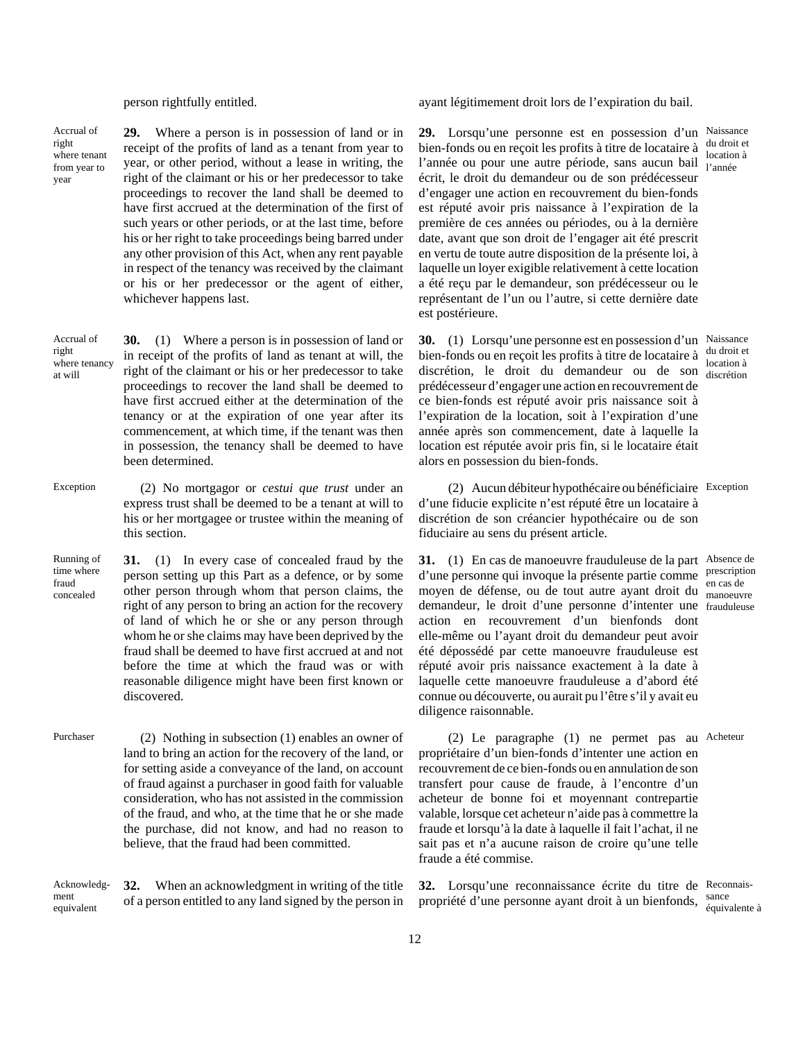Accrual of right where tenant from year to year

right

at will

**29.** Where a person is in possession of land or in receipt of the profits of land as a tenant from year to year, or other period, without a lease in writing, the right of the claimant or his or her predecessor to take proceedings to recover the land shall be deemed to have first accrued at the determination of the first of such years or other periods, or at the last time, before his or her right to take proceedings being barred under any other provision of this Act, when any rent payable in respect of the tenancy was received by the claimant or his or her predecessor or the agent of either, whichever happens last.

Accrual of where tenancy **30.** (1) Where a person is in possession of land or in receipt of the profits of land as tenant at will, the right of the claimant or his or her predecessor to take proceedings to recover the land shall be deemed to have first accrued either at the determination of the tenancy or at the expiration of one year after its commencement, at which time, if the tenant was then in possession, the tenancy shall be deemed to have been determined.

- Exception (2) No mortgagor or *cestui que trust* under an express trust shall be deemed to be a tenant at will to his or her mortgagee or trustee within the meaning of this section.
- Running of time where fraud concealed **31.** (1) In every case of concealed fraud by the person setting up this Part as a defence, or by some other person through whom that person claims, the right of any person to bring an action for the recovery of land of which he or she or any person through whom he or she claims may have been deprived by the fraud shall be deemed to have first accrued at and not before the time at which the fraud was or with reasonable diligence might have been first known or discovered.
- Purchaser (2) Nothing in subsection (1) enables an owner of land to bring an action for the recovery of the land, or for setting aside a conveyance of the land, on account of fraud against a purchaser in good faith for valuable consideration, who has not assisted in the commission of the fraud, and who, at the time that he or she made the purchase, did not know, and had no reason to believe, that the fraud had been committed.

Acknowledgment equivalent **32.** When an acknowledgment in writing of the title of a person entitled to any land signed by the person in

person rightfully entitled. ayant légitimement droit lors de l'expiration du bail.

**29.** Lorsqu'une personne est en possession d'un Naissance bien-fonds ou en reçoit les profits à titre de locataire à l'année ou pour une autre période, sans aucun bail l'année écrit, le droit du demandeur ou de son prédécesseur d'engager une action en recouvrement du bien-fonds est réputé avoir pris naissance à l'expiration de la première de ces années ou périodes, ou à la dernière date, avant que son droit de l'engager ait été prescrit en vertu de toute autre disposition de la présente loi, à laquelle un loyer exigible relativement à cette location a été reçu par le demandeur, son prédécesseur ou le représentant de l'un ou l'autre, si cette dernière date est postérieure.

**30.** (1) Lorsqu'une personne est en possession d'un Naissance bien-fonds ou en reçoit les profits à titre de locataire à discrétion, le droit du demandeur ou de son discrétion prédécesseur d'engager une action en recouvrement de ce bien-fonds est réputé avoir pris naissance soit à l'expiration de la location, soit à l'expiration d'une année après son commencement, date à laquelle la location est réputée avoir pris fin, si le locataire était alors en possession du bien-fonds.

(2) Aucun débiteur hypothécaire ou bénéficiaire Exception d'une fiducie explicite n'est réputé être un locataire à discrétion de son créancier hypothécaire ou de son fiduciaire au sens du présent article.

**31.** (1) En cas de manoeuvre frauduleuse de la part Absence de d'une personne qui invoque la présente partie comme prescription moyen de défense, ou de tout autre ayant droit du <sub>manoeuvre</sub> demandeur, le droit d'une personne d'intenter une frauduleuse action en recouvrement d'un bienfonds dont elle-même ou l'ayant droit du demandeur peut avoir été dépossédé par cette manoeuvre frauduleuse est réputé avoir pris naissance exactement à la date à laquelle cette manoeuvre frauduleuse a d'abord été connue ou découverte, ou aurait pu l'être s'il y avait eu diligence raisonnable.

(2) Le paragraphe (1) ne permet pas au Acheteur propriétaire d'un bien-fonds d'intenter une action en recouvrement de ce bien-fonds ou en annulation de son transfert pour cause de fraude, à l'encontre d'un acheteur de bonne foi et moyennant contrepartie valable, lorsque cet acheteur n'aide pas à commettre la fraude et lorsqu'à la date à laquelle il fait l'achat, il ne sait pas et n'a aucune raison de croire qu'une telle fraude a été commise.

**32.** Lorsqu'une reconnaissance écrite du titre de Reconnaispropriété d'une personne ayant droit à un bienfonds, sance équivalente à

du droit et location à

du droit et location à

en cas de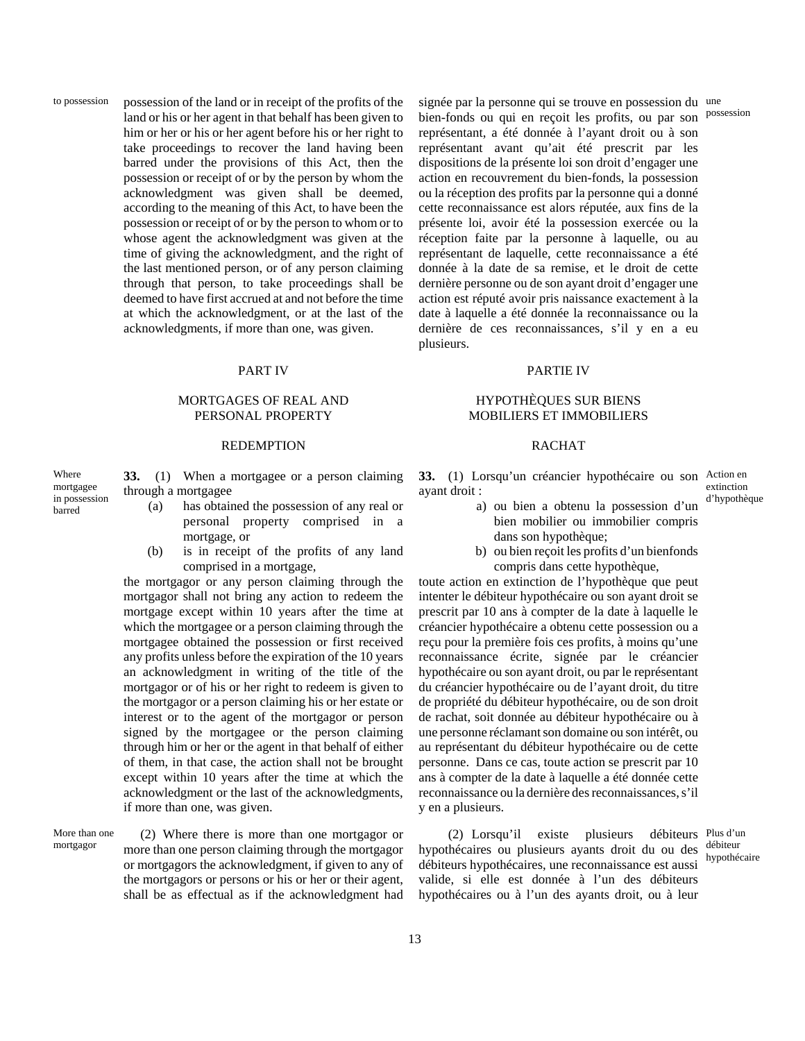to possession possession of the land or in receipt of the profits of the land or his or her agent in that behalf has been given to him or her or his or her agent before his or her right to take proceedings to recover the land having been barred under the provisions of this Act, then the possession or receipt of or by the person by whom the acknowledgment was given shall be deemed, according to the meaning of this Act, to have been the possession or receipt of or by the person to whom or to whose agent the acknowledgment was given at the time of giving the acknowledgment, and the right of the last mentioned person, or of any person claiming through that person, to take proceedings shall be deemed to have first accrued at and not before the time at which the acknowledgment, or at the last of the acknowledgments, if more than one, was given.

## MORTGAGES OF REAL AND PERSONAL PROPERTY

### REDEMPTION RACHAT

Where mortgagee in possession barred

**33.** (1) When a mortgagee or a person claiming through a mortgagee

- (a) has obtained the possession of any real or personal property comprised in a mortgage, or
- (b) is in receipt of the profits of any land comprised in a mortgage,

the mortgagor or any person claiming through the mortgagor shall not bring any action to redeem the mortgage except within 10 years after the time at which the mortgagee or a person claiming through the mortgagee obtained the possession or first received any profits unless before the expiration of the 10 years an acknowledgment in writing of the title of the mortgagor or of his or her right to redeem is given to the mortgagor or a person claiming his or her estate or interest or to the agent of the mortgagor or person signed by the mortgagee or the person claiming through him or her or the agent in that behalf of either of them, in that case, the action shall not be brought except within 10 years after the time at which the acknowledgment or the last of the acknowledgments, if more than one, was given.

More than one mortgagor (2) Where there is more than one mortgagor or more than one person claiming through the mortgagor or mortgagors the acknowledgment, if given to any of the mortgagors or persons or his or her or their agent, shall be as effectual as if the acknowledgment had

signée par la personne qui se trouve en possession du une bien-fonds ou qui en reçoit les profits, ou par son représentant, a été donnée à l'ayant droit ou à son représentant avant qu'ait été prescrit par les dispositions de la présente loi son droit d'engager une action en recouvrement du bien-fonds, la possession ou la réception des profits par la personne qui a donné cette reconnaissance est alors réputée, aux fins de la présente loi, avoir été la possession exercée ou la réception faite par la personne à laquelle, ou au représentant de laquelle, cette reconnaissance a été donnée à la date de sa remise, et le droit de cette dernière personne ou de son ayant droit d'engager une action est réputé avoir pris naissance exactement à la date à laquelle a été donnée la reconnaissance ou la dernière de ces reconnaissances, s'il y en a eu plusieurs.

### PART IV PARTIE IV

## HYPOTHÈQUES SUR BIENS MOBILIERS ET IMMOBILIERS

**33.** (1) Lorsqu'un créancier hypothécaire ou son Action en ayant droit : extinction d'hypothèque

- a) ou bien a obtenu la possession d'un bien mobilier ou immobilier compris dans son hypothèque;
- b) ou bien reçoit les profits d'un bienfonds compris dans cette hypothèque,

toute action en extinction de l'hypothèque que peut intenter le débiteur hypothécaire ou son ayant droit se prescrit par 10 ans à compter de la date à laquelle le créancier hypothécaire a obtenu cette possession ou a reçu pour la première fois ces profits, à moins qu'une reconnaissance écrite, signée par le créancier hypothécaire ou son ayant droit, ou par le représentant du créancier hypothécaire ou de l'ayant droit, du titre de propriété du débiteur hypothécaire, ou de son droit de rachat, soit donnée au débiteur hypothécaire ou à une personne réclamant son domaine ou son intérêt, ou au représentant du débiteur hypothécaire ou de cette personne. Dans ce cas, toute action se prescrit par 10 ans à compter de la date à laquelle a été donnée cette reconnaissance ou la dernière des reconnaissances, s'il y en a plusieurs.

(2) Lorsqu'il existe plusieurs hypothécaires ou plusieurs ayants droit du ou des débiteur débiteurs hypothécaires, une reconnaissance est aussi valide, si elle est donnée à l'un des débiteurs hypothécaires ou à l'un des ayants droit, ou à leur débiteurs Plus d'un

hypothécaire

possession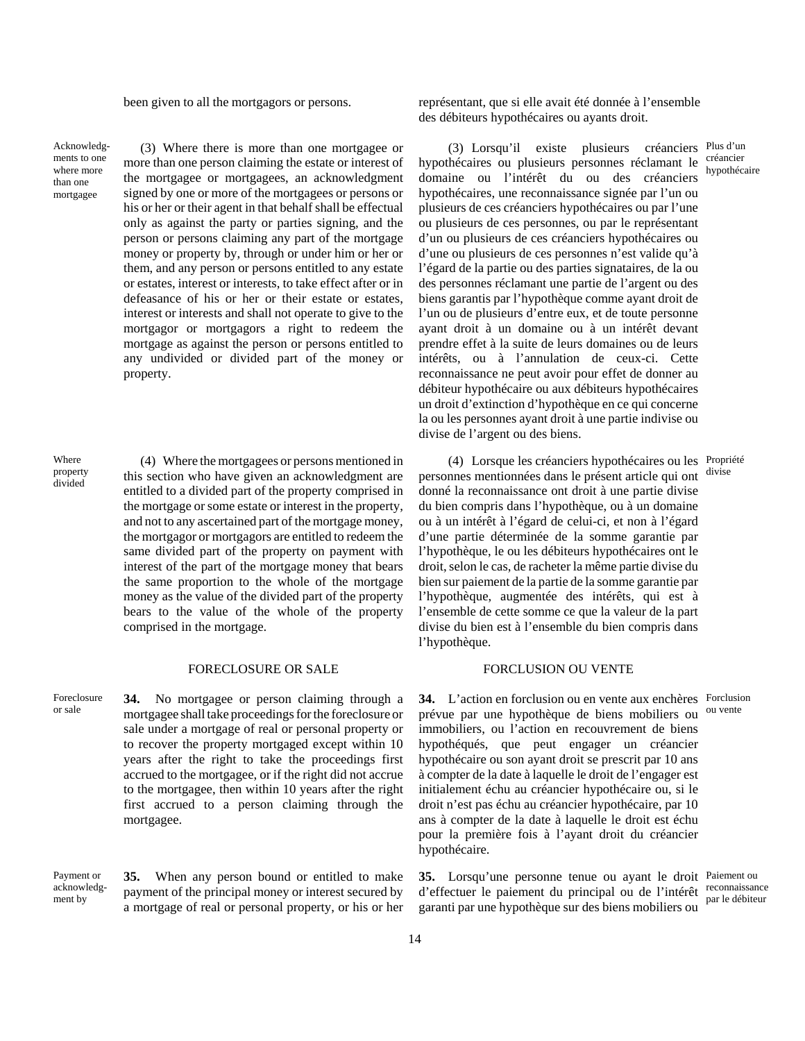Acknowledgments to one where more than one mortgagee

(3) Where there is more than one mortgagee or more than one person claiming the estate or interest of the mortgagee or mortgagees, an acknowledgment signed by one or more of the mortgagees or persons or his or her or their agent in that behalf shall be effectual only as against the party or parties signing, and the person or persons claiming any part of the mortgage money or property by, through or under him or her or them, and any person or persons entitled to any estate or estates, interest or interests, to take effect after or in defeasance of his or her or their estate or estates, interest or interests and shall not operate to give to the mortgagor or mortgagors a right to redeem the mortgage as against the person or persons entitled to any undivided or divided part of the money or property.

Where property divided

(4) Where the mortgagees or persons mentioned in this section who have given an acknowledgment are entitled to a divided part of the property comprised in the mortgage or some estate or interest in the property, and not to any ascertained part of the mortgage money, the mortgagor or mortgagors are entitled to redeem the same divided part of the property on payment with interest of the part of the mortgage money that bears the same proportion to the whole of the mortgage money as the value of the divided part of the property bears to the value of the whole of the property comprised in the mortgage.

### FORECLOSURE OR SALE FORCLUSION OU VENTE

Foreclosure or sale **34.** No mortgagee or person claiming through a mortgagee shall take proceedings for the foreclosure or sale under a mortgage of real or personal property or to recover the property mortgaged except within 10 years after the right to take the proceedings first accrued to the mortgagee, or if the right did not accrue to the mortgagee, then within 10 years after the right first accrued to a person claiming through the mortgagee.

Payment or acknowledgment by

**35.** When any person bound or entitled to make payment of the principal money or interest secured by a mortgage of real or personal property, or his or her

been given to all the mortgagors or persons. représentant, que si elle avait été donnée à l'ensemble des débiteurs hypothécaires ou ayants droit.

> (3) Lorsqu'il existe plusieurs créanciers Plus d'un hypothécaires ou plusieurs personnes réclamant le créancier domaine ou l'intérêt du ou des créanciers hypothécaires, une reconnaissance signée par l'un ou plusieurs de ces créanciers hypothécaires ou par l'une ou plusieurs de ces personnes, ou par le représentant d'un ou plusieurs de ces créanciers hypothécaires ou d'une ou plusieurs de ces personnes n'est valide qu'à l'égard de la partie ou des parties signataires, de la ou des personnes réclamant une partie de l'argent ou des biens garantis par l'hypothèque comme ayant droit de l'un ou de plusieurs d'entre eux, et de toute personne ayant droit à un domaine ou à un intérêt devant prendre effet à la suite de leurs domaines ou de leurs intérêts, ou à l'annulation de ceux-ci. Cette reconnaissance ne peut avoir pour effet de donner au débiteur hypothécaire ou aux débiteurs hypothécaires un droit d'extinction d'hypothèque en ce qui concerne la ou les personnes ayant droit à une partie indivise ou divise de l'argent ou des biens. hypothécaire

(4) Lorsque les créanciers hypothécaires ou les Propriété personnes mentionnées dans le présent article qui ont divise donné la reconnaissance ont droit à une partie divise du bien compris dans l'hypothèque, ou à un domaine ou à un intérêt à l'égard de celui-ci, et non à l'égard d'une partie déterminée de la somme garantie par l'hypothèque, le ou les débiteurs hypothécaires ont le droit, selon le cas, de racheter la même partie divise du bien sur paiement de la partie de la somme garantie par l'hypothèque, augmentée des intérêts, qui est à l'ensemble de cette somme ce que la valeur de la part divise du bien est à l'ensemble du bien compris dans l'hypothèque.

**34.** L'action en forclusion ou en vente aux enchères Forclusion prévue par une hypothèque de biens mobiliers ou immobiliers, ou l'action en recouvrement de biens hypothéqués, que peut engager un créancier hypothécaire ou son ayant droit se prescrit par 10 ans à compter de la date à laquelle le droit de l'engager est initialement échu au créancier hypothécaire ou, si le droit n'est pas échu au créancier hypothécaire, par 10 ans à compter de la date à laquelle le droit est échu pour la première fois à l'ayant droit du créancier hypothécaire. ou vente

**35.** Lorsqu'une personne tenue ou ayant le droit Paiement ou d'effectuer le paiement du principal ou de l'intérêt reconnaissance garanti par une hypothèque sur des biens mobiliers ou

par le débiteur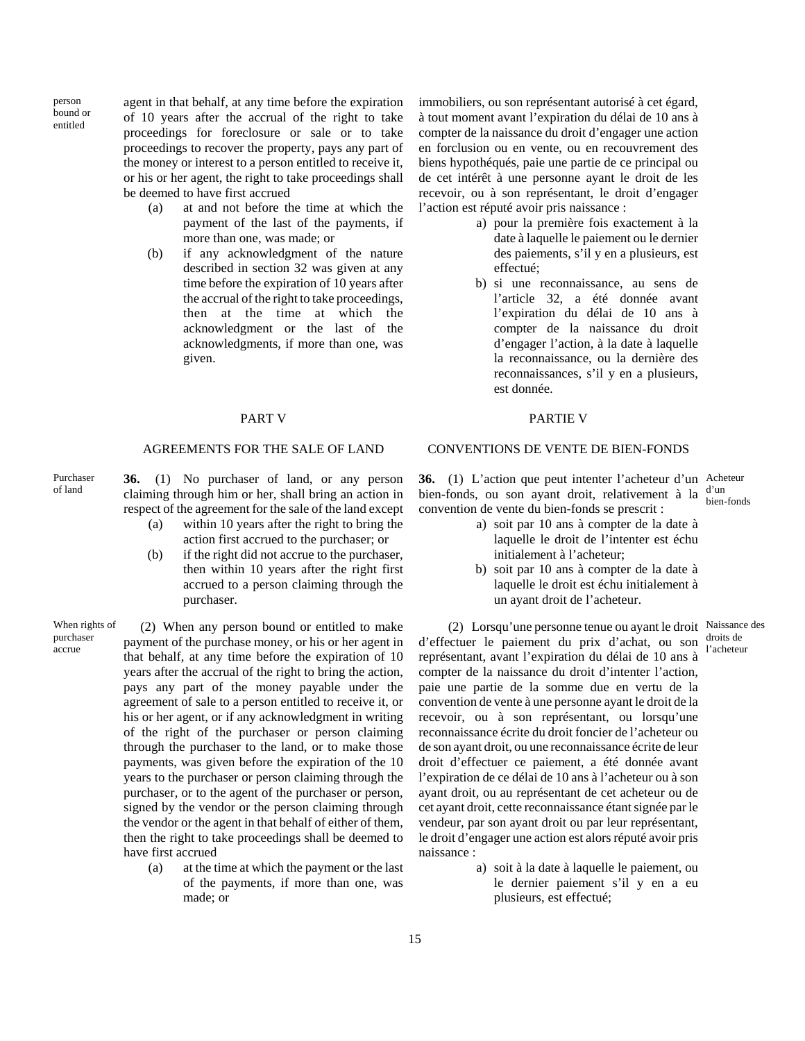person bound or entitled

agent in that behalf, at any time before the expiration of 10 years after the accrual of the right to take proceedings for foreclosure or sale or to take proceedings to recover the property, pays any part of the money or interest to a person entitled to receive it, or his or her agent, the right to take proceedings shall be deemed to have first accrued

- (a) at and not before the time at which the payment of the last of the payments, if more than one, was made; or
- (b) if any acknowledgment of the nature described in section 32 was given at any time before the expiration of 10 years after the accrual of the right to take proceedings, then at the time at which the acknowledgment or the last of the acknowledgments, if more than one, was given.

**36.** (1) No purchaser of land, or any person claiming through him or her, shall bring an action in respect of the agreement for the sale of the land except

- (a) within 10 years after the right to bring the action first accrued to the purchaser; or
- (b) if the right did not accrue to the purchaser, then within 10 years after the right first accrued to a person claiming through the purchaser.

When rights of purchaser accrue

Purchaser of land

> (2) When any person bound or entitled to make payment of the purchase money, or his or her agent in that behalf, at any time before the expiration of 10 years after the accrual of the right to bring the action, pays any part of the money payable under the agreement of sale to a person entitled to receive it, or his or her agent, or if any acknowledgment in writing of the right of the purchaser or person claiming through the purchaser to the land, or to make those payments, was given before the expiration of the 10 years to the purchaser or person claiming through the purchaser, or to the agent of the purchaser or person, signed by the vendor or the person claiming through the vendor or the agent in that behalf of either of them, then the right to take proceedings shall be deemed to have first accrued

(a) at the time at which the payment or the last of the payments, if more than one, was made; or

immobiliers, ou son représentant autorisé à cet égard, à tout moment avant l'expiration du délai de 10 ans à compter de la naissance du droit d'engager une action en forclusion ou en vente, ou en recouvrement des biens hypothéqués, paie une partie de ce principal ou de cet intérêt à une personne ayant le droit de les recevoir, ou à son représentant, le droit d'engager l'action est réputé avoir pris naissance :

- a) pour la première fois exactement à la date à laquelle le paiement ou le dernier des paiements, s'il y en a plusieurs, est effectué;
- b) si une reconnaissance, au sens de l'article 32, a été donnée avant l'expiration du délai de 10 ans à compter de la naissance du droit d'engager l'action, à la date à laquelle la reconnaissance, ou la dernière des reconnaissances, s'il y en a plusieurs, est donnée.

### PART V PARTIE V

## AGREEMENTS FOR THE SALE OF LAND CONVENTIONS DE VENTE DE BIEN-FONDS

**36.** (1) L'action que peut intenter l'acheteur d'un Acheteur bien-fonds, ou son ayant droit, relativement à la  $\frac{d'un}{dx}$ convention de vente du bien-fonds se prescrit :

bien-fonds

l'acheteur

- a) soit par 10 ans à compter de la date à laquelle le droit de l'intenter est échu initialement à l'acheteur;
- b) soit par 10 ans à compter de la date à laquelle le droit est échu initialement à un ayant droit de l'acheteur.

(2) Lorsqu'une personne tenue ou ayant le droit Naissance des d'effectuer le paiement du prix d'achat, ou son droits de représentant, avant l'expiration du délai de 10 ans à compter de la naissance du droit d'intenter l'action, paie une partie de la somme due en vertu de la convention de vente à une personne ayant le droit de la recevoir, ou à son représentant, ou lorsqu'une reconnaissance écrite du droit foncier de l'acheteur ou de son ayant droit, ou une reconnaissance écrite de leur droit d'effectuer ce paiement, a été donnée avant l'expiration de ce délai de 10 ans à l'acheteur ou à son ayant droit, ou au représentant de cet acheteur ou de cet ayant droit, cette reconnaissance étant signée par le vendeur, par son ayant droit ou par leur représentant, le droit d'engager une action est alors réputé avoir pris naissance :

> a) soit à la date à laquelle le paiement, ou le dernier paiement s'il y en a eu plusieurs, est effectué;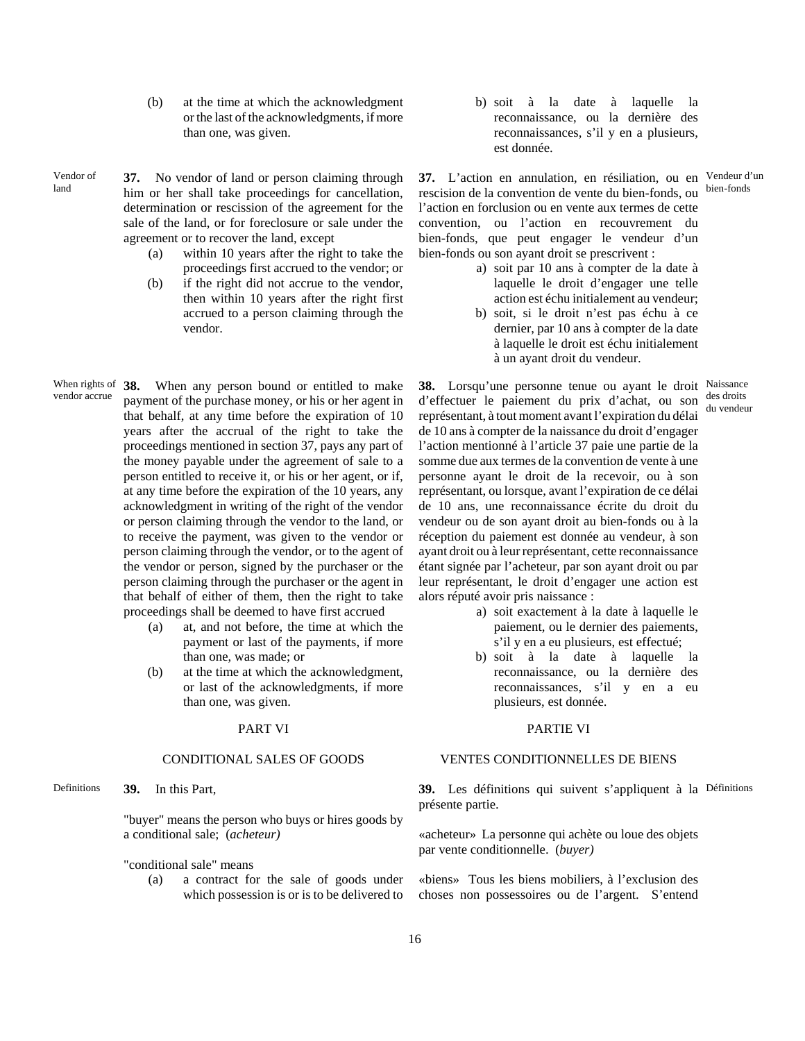- (b) at the time at which the acknowledgment or the last of the acknowledgments, if more than one, was given.
- Vendor of land

**37.** No vendor of land or person claiming through him or her shall take proceedings for cancellation, determination or rescission of the agreement for the sale of the land, or for foreclosure or sale under the agreement or to recover the land, except

- (a) within 10 years after the right to take the proceedings first accrued to the vendor; or
- (b) if the right did not accrue to the vendor, then within 10 years after the right first accrued to a person claiming through the vendor.
- When rights of vendor accrue **38.** When any person bound or entitled to make payment of the purchase money, or his or her agent in that behalf, at any time before the expiration of 10 years after the accrual of the right to take the proceedings mentioned in section 37, pays any part of the money payable under the agreement of sale to a person entitled to receive it, or his or her agent, or if, at any time before the expiration of the 10 years, any acknowledgment in writing of the right of the vendor or person claiming through the vendor to the land, or to receive the payment, was given to the vendor or person claiming through the vendor, or to the agent of the vendor or person, signed by the purchaser or the person claiming through the purchaser or the agent in that behalf of either of them, then the right to take proceedings shall be deemed to have first accrued
	- (a) at, and not before, the time at which the payment or last of the payments, if more than one, was made; or
	- (b) at the time at which the acknowledgment, or last of the acknowledgments, if more than one, was given.

Definitions **39.** In this Part,

"buyer" means the person who buys or hires goods by a conditional sale; (*acheteur)*

- "conditional sale" means
	- (a) a contract for the sale of goods under which possession is or is to be delivered to

b) soit à la date à laquelle la reconnaissance, ou la dernière des reconnaissances, s'il y en a plusieurs, est donnée.

**37.** L'action en annulation, en résiliation, ou en Vendeur d'un rescision de la convention de vente du bien-fonds, ou l'action en forclusion ou en vente aux termes de cette convention, ou l'action en recouvrement du bien-fonds, que peut engager le vendeur d'un bien-fonds ou son ayant droit se prescrivent :

- a) soit par 10 ans à compter de la date à laquelle le droit d'engager une telle action est échu initialement au vendeur;
- b) soit, si le droit n'est pas échu à ce dernier, par 10 ans à compter de la date à laquelle le droit est échu initialement à un ayant droit du vendeur.

**38.** Lorsqu'une personne tenue ou ayant le droit Naissance d'effectuer le paiement du prix d'achat, ou son représentant, à tout moment avant l'expiration du délai de 10 ans à compter de la naissance du droit d'engager l'action mentionné à l'article 37 paie une partie de la somme due aux termes de la convention de vente à une personne ayant le droit de la recevoir, ou à son représentant, ou lorsque, avant l'expiration de ce délai de 10 ans, une reconnaissance écrite du droit du vendeur ou de son ayant droit au bien-fonds ou à la réception du paiement est donnée au vendeur, à son ayant droit ou à leur représentant, cette reconnaissance étant signée par l'acheteur, par son ayant droit ou par leur représentant, le droit d'engager une action est alors réputé avoir pris naissance : des droits du vendeur

- a) soit exactement à la date à laquelle le paiement, ou le dernier des paiements, s'il y en a eu plusieurs, est effectué;
- b) soit à la date à laquelle la reconnaissance, ou la dernière des reconnaissances, s'il y en a eu plusieurs, est donnée.

## PART VI PARTIE VI

### CONDITIONAL SALES OF GOODS VENTES CONDITIONNELLES DE BIENS

**39.** Les définitions qui suivent s'appliquent à la Définitions présente partie.

«acheteur» La personne qui achète ou loue des objets par vente conditionnelle. (*buyer)*

«biens» Tous les biens mobiliers, à l'exclusion des choses non possessoires ou de l'argent. S'entend

bien-fonds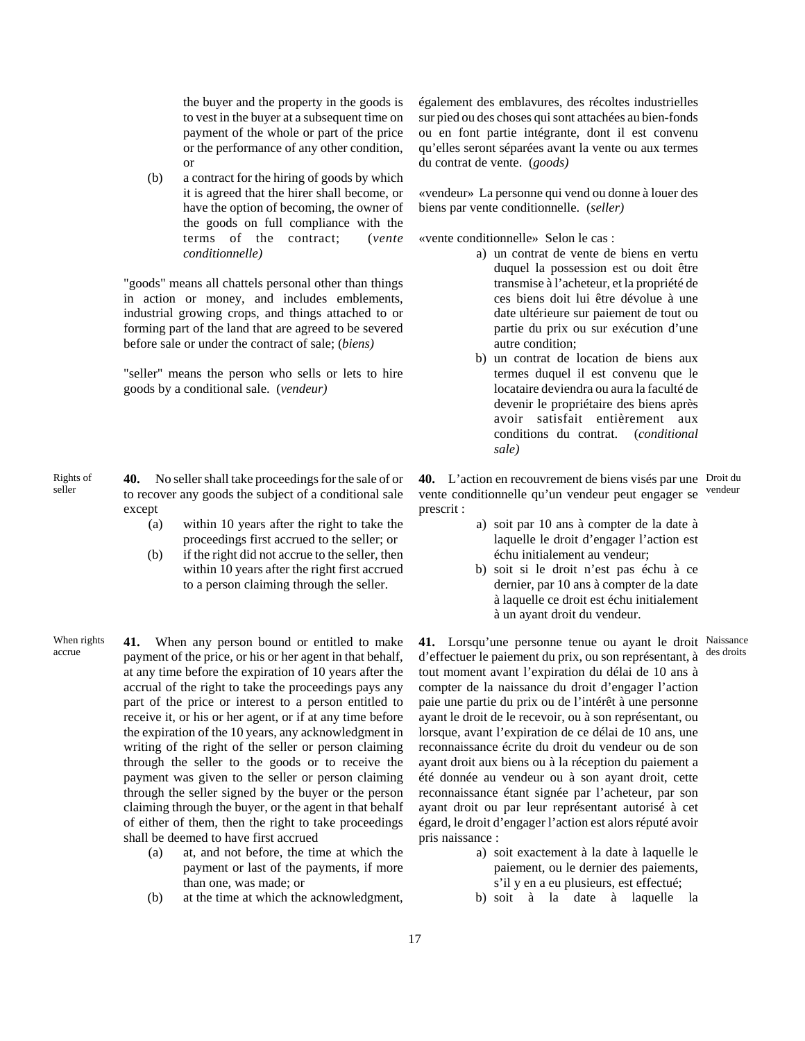the buyer and the property in the goods is to vest in the buyer at a subsequent time on payment of the whole or part of the price or the performance of any other condition, or

(b) a contract for the hiring of goods by which it is agreed that the hirer shall become, or have the option of becoming, the owner of the goods on full compliance with the terms of the contract; (*vente conditionnelle)*

"goods" means all chattels personal other than things in action or money, and includes emblements, industrial growing crops, and things attached to or forming part of the land that are agreed to be severed before sale or under the contract of sale; (*biens)*

"seller" means the person who sells or lets to hire goods by a conditional sale. (*vendeur)*

- **40.** No seller shall take proceedings for the sale of or to recover any goods the subject of a conditional sale except
	- (a) within 10 years after the right to take the proceedings first accrued to the seller; or
	- (b) if the right did not accrue to the seller, then within 10 years after the right first accrued to a person claiming through the seller.

When rights

Rights of seller

When rights **41.** When any person bound or entitled to make<br>accrue payment of the price, or his or her agent in that behalf, at any time before the expiration of 10 years after the accrual of the right to take the proceedings pays any part of the price or interest to a person entitled to receive it, or his or her agent, or if at any time before the expiration of the 10 years, any acknowledgment in writing of the right of the seller or person claiming through the seller to the goods or to receive the payment was given to the seller or person claiming through the seller signed by the buyer or the person claiming through the buyer, or the agent in that behalf of either of them, then the right to take proceedings shall be deemed to have first accrued

- (a) at, and not before, the time at which the payment or last of the payments, if more than one, was made; or
- (b) at the time at which the acknowledgment,

également des emblavures, des récoltes industrielles sur pied ou des choses qui sont attachées au bien-fonds ou en font partie intégrante, dont il est convenu qu'elles seront séparées avant la vente ou aux termes du contrat de vente. (*goods)*

«vendeur» La personne qui vend ou donne à louer des biens par vente conditionnelle. (*seller)*

«vente conditionnelle» Selon le cas :

- a) un contrat de vente de biens en vertu duquel la possession est ou doit être transmise à l'acheteur, et la propriété de ces biens doit lui être dévolue à une date ultérieure sur paiement de tout ou partie du prix ou sur exécution d'une autre condition;
	- b) un contrat de location de biens aux termes duquel il est convenu que le locataire deviendra ou aura la faculté de devenir le propriétaire des biens après avoir satisfait entièrement aux conditions du contrat. (*conditional sale)*

**40.** L'action en recouvrement de biens visés par une Droit du vente conditionnelle qu'un vendeur peut engager se prescrit : vendeur

- a) soit par 10 ans à compter de la date à laquelle le droit d'engager l'action est échu initialement au vendeur;
- b) soit si le droit n'est pas échu à ce dernier, par 10 ans à compter de la date à laquelle ce droit est échu initialement à un ayant droit du vendeur.

**41.** Lorsqu'une personne tenue ou ayant le droit Naissance d'effectuer le paiement du prix, ou son représentant, à des droits tout moment avant l'expiration du délai de 10 ans à compter de la naissance du droit d'engager l'action paie une partie du prix ou de l'intérêt à une personne ayant le droit de le recevoir, ou à son représentant, ou lorsque, avant l'expiration de ce délai de 10 ans, une reconnaissance écrite du droit du vendeur ou de son ayant droit aux biens ou à la réception du paiement a été donnée au vendeur ou à son ayant droit, cette reconnaissance étant signée par l'acheteur, par son ayant droit ou par leur représentant autorisé à cet égard, le droit d'engager l'action est alors réputé avoir pris naissance :

- a) soit exactement à la date à laquelle le paiement, ou le dernier des paiements, s'il y en a eu plusieurs, est effectué;
- b) soit à la date à laquelle la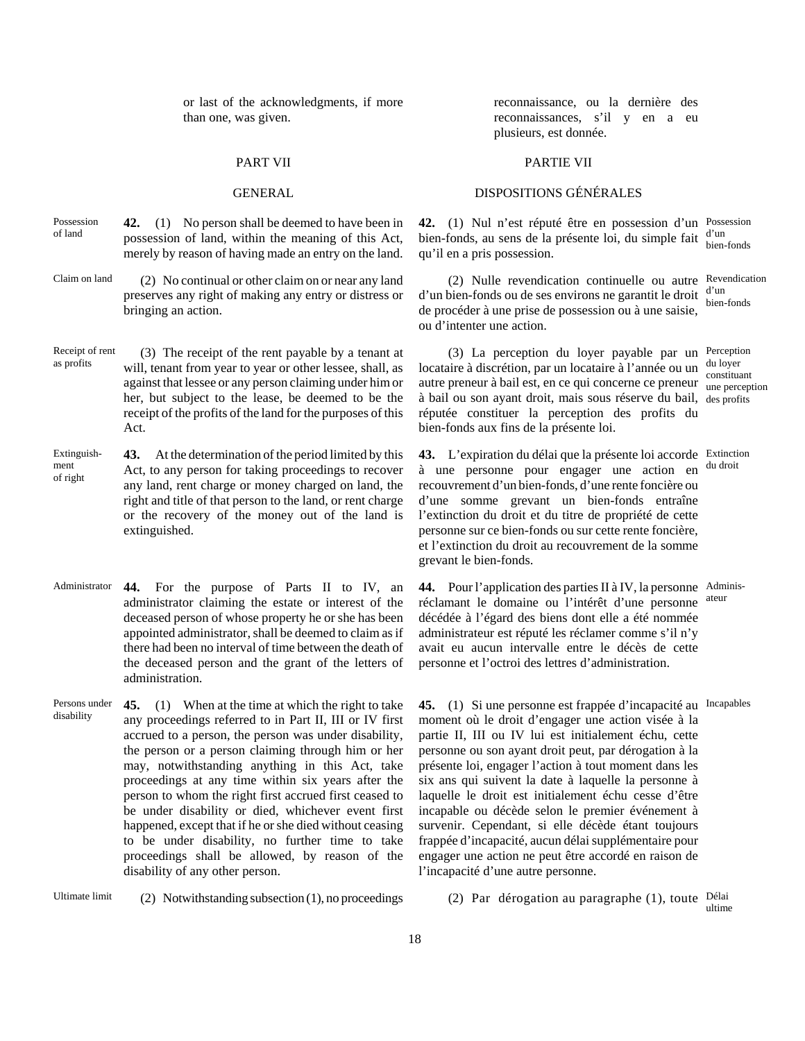or last of the acknowledgments, if more than one, was given.

- Possession of land **42.** (1) No person shall be deemed to have been in possession of land, within the meaning of this Act, merely by reason of having made an entry on the land.
- Claim on land (2) No continual or other claim on or near any land preserves any right of making any entry or distress or bringing an action.
- Receipt of rent Receipt of rent (3) The receipt of the rent payable by a tenant at as profits will tenant from year to year or other lesses shall as will, tenant from year to year or other lessee, shall, as against that lessee or any person claiming under him or her, but subject to the lease, be deemed to be the receipt of the profits of the land for the purposes of this Act.
- Extinguishment of right **43.** At the determination of the period limited by this Act, to any person for taking proceedings to recover any land, rent charge or money charged on land, the right and title of that person to the land, or rent charge or the recovery of the money out of the land is extinguished.
- Administrator **44.** For the purpose of Parts II to IV, an administrator claiming the estate or interest of the deceased person of whose property he or she has been appointed administrator, shall be deemed to claim as if there had been no interval of time between the death of the deceased person and the grant of the letters of administration.
- Persons under disability **45.** (1) When at the time at which the right to take any proceedings referred to in Part II, III or IV first accrued to a person, the person was under disability, the person or a person claiming through him or her may, notwithstanding anything in this Act, take proceedings at any time within six years after the person to whom the right first accrued first ceased to be under disability or died, whichever event first happened, except that if he or she died without ceasing to be under disability, no further time to take proceedings shall be allowed, by reason of the disability of any other person.

Ultimate limit (2) Notwithstanding subsection (1), no proceedings (2) Par dérogation au paragraphe (1), toute Délai

reconnaissance, ou la dernière des reconnaissances, s'il y en a eu plusieurs, est donnée.

### PART VII PARTIE VII

## GENERAL DISPOSITIONS GÉNÉRALES

**42.** (1) Nul n'est réputé être en possession d'un Possession bien-fonds, au sens de la présente loi, du simple fait d'un qu'il en a pris possession. bien-fonds

(2) Nulle revendication continuelle ou autre Revendication  $d'$ un bien-fonds ou de ses environs ne garantit le droit  $\frac{d'$ un de procéder à une prise de possession ou à une saisie, ou d'intenter une action. bien-fonds

(3) La perception du loyer payable par un Perception locataire à discrétion, par un locataire à l'année ou un  $\alpha$  autre preneur à bail est, en ce qui concerne ce preneur  $\frac{\text{constituant}}{\text{une percent}}$ à bail ou son ayant droit, mais sous réserve du bail, des profits réputée constituer la perception des profits du bien-fonds aux fins de la présente loi. du loyer

une perception

**43.** L'expiration du délai que la présente loi accorde Extinction à une personne pour engager une action en recouvrement d'un bien-fonds, d'une rente foncière ou d'une somme grevant un bien-fonds entraîne l'extinction du droit et du titre de propriété de cette personne sur ce bien-fonds ou sur cette rente foncière, et l'extinction du droit au recouvrement de la somme grevant le bien-fonds. du droit

**44.** Pour l'application des parties II à IV, la personne Adminisréclamant le domaine ou l'intérêt d'une personne décédée à l'égard des biens dont elle a été nommée administrateur est réputé les réclamer comme s'il n'y avait eu aucun intervalle entre le décès de cette personne et l'octroi des lettres d'administration. ateur

**45.** (1) Si une personne est frappée d'incapacité au Incapables moment où le droit d'engager une action visée à la partie II, III ou IV lui est initialement échu, cette personne ou son ayant droit peut, par dérogation à la présente loi, engager l'action à tout moment dans les six ans qui suivent la date à laquelle la personne à laquelle le droit est initialement échu cesse d'être incapable ou décède selon le premier événement à survenir. Cependant, si elle décède étant toujours frappée d'incapacité, aucun délai supplémentaire pour engager une action ne peut être accordé en raison de l'incapacité d'une autre personne.

ultime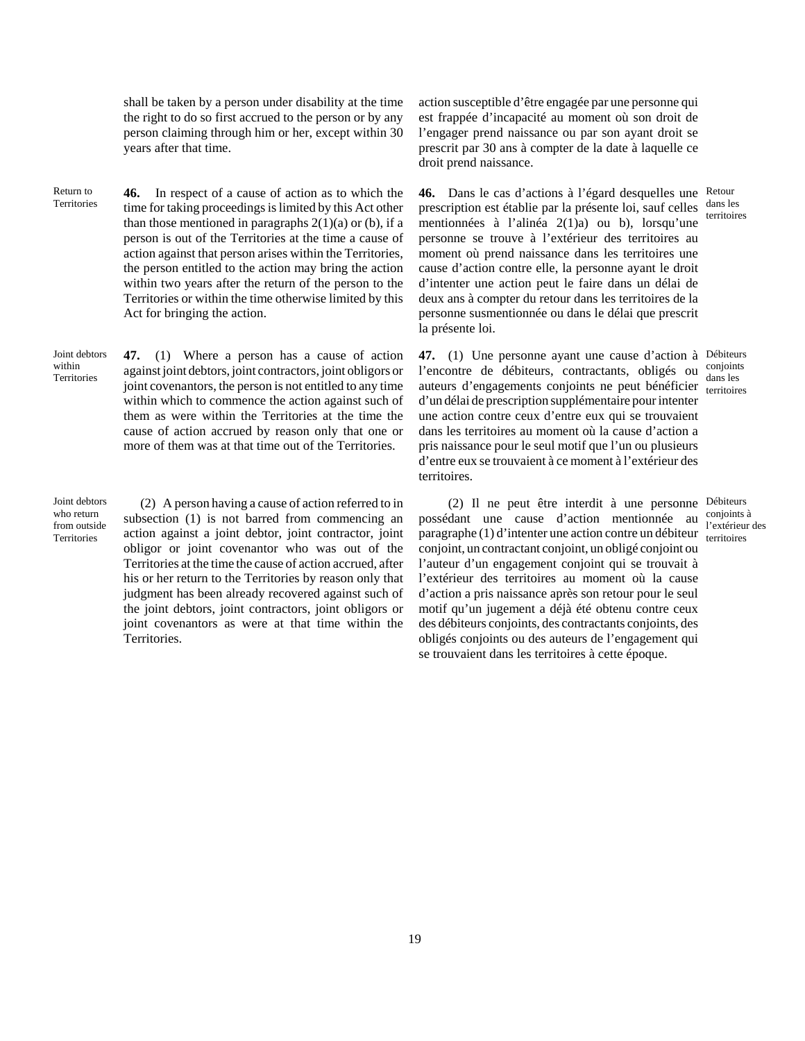shall be taken by a person under disability at the time the right to do so first accrued to the person or by any person claiming through him or her, except within 30 years after that time.

Return to **Territories 46.** In respect of a cause of action as to which the time for taking proceedings is limited by this Act other than those mentioned in paragraphs  $2(1)(a)$  or (b), if a person is out of the Territories at the time a cause of action against that person arises within the Territories, the person entitled to the action may bring the action within two years after the return of the person to the Territories or within the time otherwise limited by this Act for bringing the action.

Joint debtors within **Territories 47.** (1) Where a person has a cause of action against joint debtors, joint contractors, joint obligors or joint covenantors, the person is not entitled to any time within which to commence the action against such of them as were within the Territories at the time the cause of action accrued by reason only that one or more of them was at that time out of the Territories.

Joint debtors who return from outside **Territories** 

(2) A person having a cause of action referred to in subsection (1) is not barred from commencing an action against a joint debtor, joint contractor, joint obligor or joint covenantor who was out of the Territories at the time the cause of action accrued, after his or her return to the Territories by reason only that judgment has been already recovered against such of the joint debtors, joint contractors, joint obligors or joint covenantors as were at that time within the Territories.

action susceptible d'être engagée par une personne qui est frappée d'incapacité au moment où son droit de l'engager prend naissance ou par son ayant droit se prescrit par 30 ans à compter de la date à laquelle ce droit prend naissance.

**46.** Dans le cas d'actions à l'égard desquelles une Retour prescription est établie par la présente loi, sauf celles dans les mentionnées à l'alinéa 2(1)a) ou b), lorsqu'une personne se trouve à l'extérieur des territoires au moment où prend naissance dans les territoires une cause d'action contre elle, la personne ayant le droit d'intenter une action peut le faire dans un délai de deux ans à compter du retour dans les territoires de la personne susmentionnée ou dans le délai que prescrit la présente loi.

**47.** (1) Une personne ayant une cause d'action à Débiteurs l'encontre de débiteurs, contractants, obligés ou conjoints auteurs d'engagements conjoints ne peut bénéficier dans les d'un délai de prescription supplémentaire pour intenter une action contre ceux d'entre eux qui se trouvaient dans les territoires au moment où la cause d'action a pris naissance pour le seul motif que l'un ou plusieurs d'entre eux se trouvaient à ce moment à l'extérieur des territoires.

(2) Il ne peut être interdit à une personne Débiteurs possédant une cause d'action mentionnée au paragraphe (1) d'intenter une action contre un débiteur territoires conjoint, un contractant conjoint, un obligé conjoint ou l'auteur d'un engagement conjoint qui se trouvait à l'extérieur des territoires au moment où la cause d'action a pris naissance après son retour pour le seul motif qu'un jugement a déjà été obtenu contre ceux des débiteurs conjoints, des contractants conjoints, des obligés conjoints ou des auteurs de l'engagement qui se trouvaient dans les territoires à cette époque.

territoires

dans les

conjoints à l'extérieur des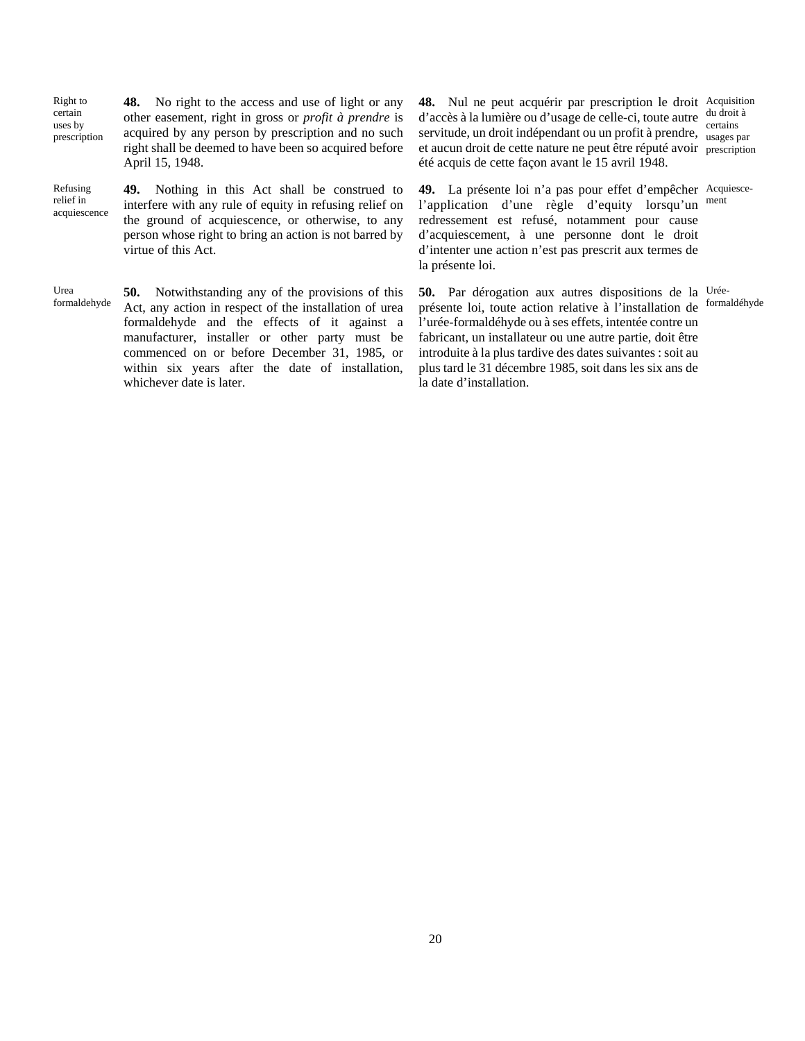Right to certain uses by prescription **48.** No right to the access and use of light or any other easement, right in gross or *profit à prendre* is acquired by any person by prescription and no such right shall be deemed to have been so acquired before April 15, 1948.

Refusing relief in acquiescence

**49.** Nothing in this Act shall be construed to interfere with any rule of equity in refusing relief on the ground of acquiescence, or otherwise, to any person whose right to bring an action is not barred by virtue of this Act.

Urea formaldehyde **50.** Notwithstanding any of the provisions of this Act, any action in respect of the installation of urea formaldehyde and the effects of it against a manufacturer, installer or other party must be commenced on or before December 31, 1985, or within six years after the date of installation, whichever date is later.

**48.** Nul ne peut acquérir par prescription le droit Acquisition d'accès à la lumière ou d'usage de celle-ci, toute autre servitude, un droit indépendant ou un profit à prendre, usages is et aucun droit de cette nature ne peut être réputé avoir prescription été acquis de cette façon avant le 15 avril 1948. usages par

**49.** La présente loi n'a pas pour effet d'empêcher Acquiescel'application d'une règle d'equity lorsqu'un ment redressement est refusé, notamment pour cause d'acquiescement, à une personne dont le droit d'intenter une action n'est pas prescrit aux termes de la présente loi.

**50.** Par dérogation aux autres dispositions de la Uréeprésente loi, toute action relative à l'installation de <sup>formaldéhyde</sup> l'urée-formaldéhyde ou à ses effets, intentée contre un fabricant, un installateur ou une autre partie, doit être introduite à la plus tardive des dates suivantes : soit au plus tard le 31 décembre 1985, soit dans les six ans de la date d'installation.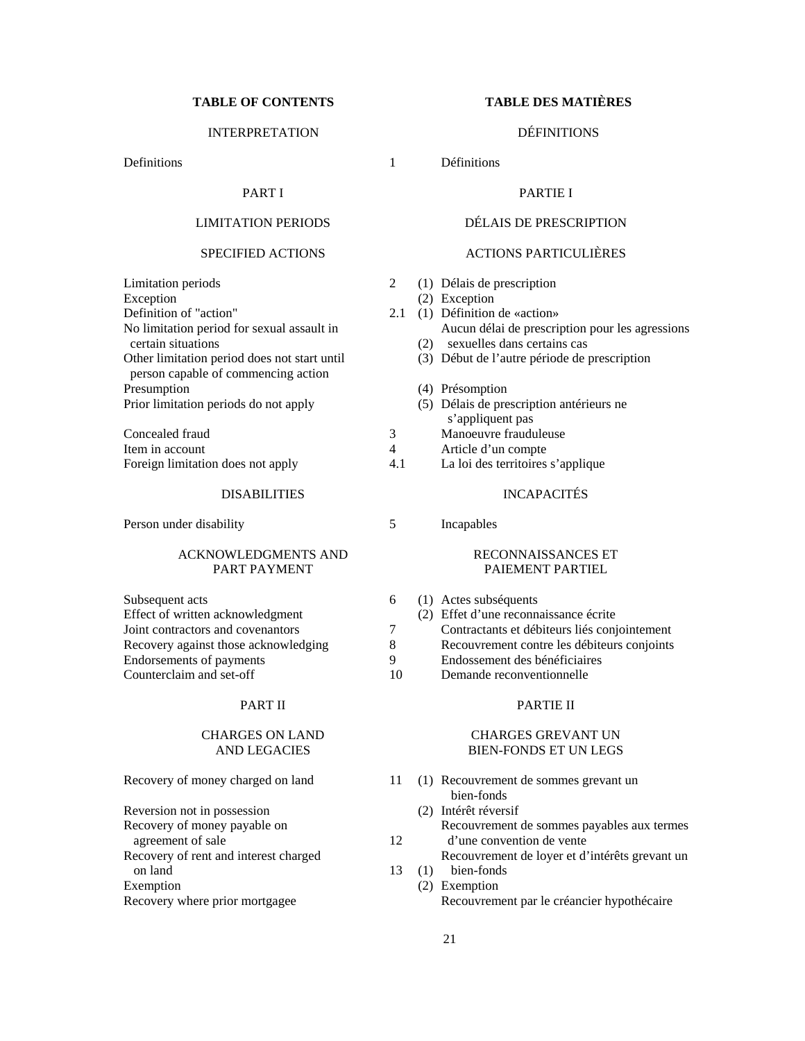# **TABLE OF CONTENTS TABLE DES MATIÈRES**

# INTERPRETATION DÉFINITIONS

Definitions 1

# PART I

# LIMITATION PERIODS

## SPECIFIED ACTIONS

Limitation periods 2 **Exception** Definition of "action" No limitation period for sexual assault in certain situations Other limitation period does not start until person capable of commencing action Presumption Prior limitation periods do not apply (5)

| Concealed fraud                   |     |
|-----------------------------------|-----|
| Item in account                   |     |
| Foreign limitation does not apply | 4.1 |

### DISABILITIES

Person under disability 5

### ACKNOWLEDGMENTS AND PART PAYMENT

| Subsequent acts                      | $\left(1\right)$ |
|--------------------------------------|------------------|
| Effect of written acknowledgment     | (2)              |
| Joint contractors and covenantors    |                  |
| Recovery against those acknowledging |                  |
| Endorsements of payments             |                  |
| Counterclaim and set-off             |                  |

## PART II

## CHARGES ON LAND AND LEGACIES

| Recovery of money charged on land |  |  |
|-----------------------------------|--|--|
|                                   |  |  |

Reversion not in possession Recovery of money payable on agreement of sale 12 Recovery of rent and interest charged on land 13 (1) bien-fonds **Exemption** Recovery where prior mortgagee

Définitions

## PARTIE I

# DÉLAIS DE PRESCRIPTION

## ACTIONS PARTICULIÈRES

- Délais de prescription
- (2) Exception
- 2.1 (1) Définition de «action» Aucun délai de prescription pour les agressions
	- sexuelles dans certains cas
	- Début de l'autre période de prescription
	- Présomption
	- Délais de prescription antérieurs ne s'appliquent pas
- Manoeuvre frauduleuse
- Article d'un compte
- La loi des territoires s'applique

## INCAPACITÉS

Incapables

### RECONNAISSANCES ET PAIEMENT PARTIEL

- (1) Actes subséquents
- Effet d'une reconnaissance écrite
- Contractants et débiteurs liés conjointement
- Recouvrement contre les débiteurs conjoints
- Endossement des bénéficiaires
- Demande reconventionnelle

## PARTIE II

### CHARGES GREVANT UN BIEN-FONDS ET UN LEGS

Recovery of money charged on land 11 (1) Recouvrement de sommes grevant un bien-fonds (2) Intérêt réversif Recouvrement de sommes payables aux termes d'une convention de vente Recouvrement de loyer et d'intérêts grevant un Exemption Recouvrement par le créancier hypothécaire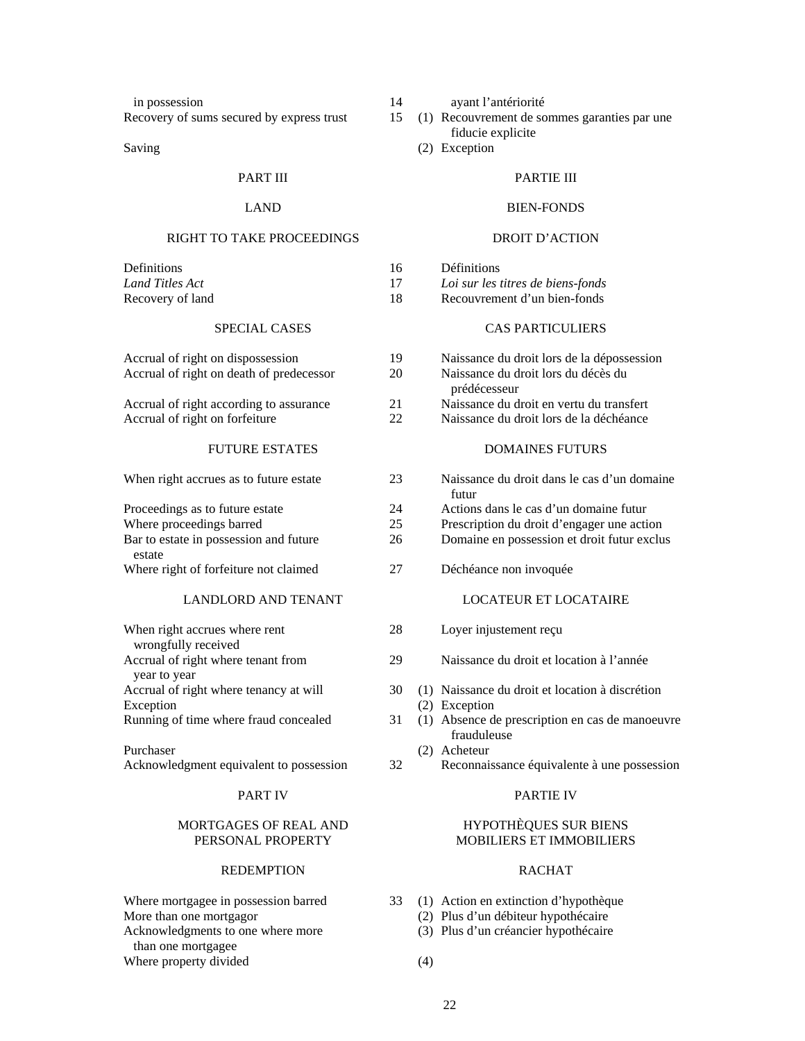in possession 14

Recovery of sums secured by express trust

Saving

## PART III

### LAND

# RIGHT TO TAKE PROCEEDINGS

| Definitions      | 16 |
|------------------|----|
| Land Titles Act  | 17 |
| Recovery of land | 18 |

# SPECIAL CASES

| Accrual of right on dispossession        | 19 |
|------------------------------------------|----|
| Accrual of right on death of predecessor | 20 |
|                                          |    |

Accrual of right according to assurance 21 Accrual of right on forfeiture 22

## FUTURE ESTATES

When right accrues as to future estate

| Proceedings as to future estate        | 24 |
|----------------------------------------|----|
| Where proceedings barred               | 25 |
| Bar to estate in possession and future | 26 |
| estate                                 |    |
| Where right of forfeiture not claimed  | 27 |

### LANDLORD AND TENANT

| When right accrues where rent          |    |     |
|----------------------------------------|----|-----|
| wrongfully received                    |    |     |
| Accrual of right where tenant from     | 29 |     |
| year to year                           |    |     |
| Accrual of right where tenancy at will | 30 | (1) |
| Exception                              |    | (2) |
| Running of time where fraud concealed  | 31 | (1) |
|                                        |    |     |

Purchaser Acknowledgment equivalent to possession

# PART IV

## MORTGAGES OF REAL AND PERSONAL PROPERTY

## **REDEMPTION**

Where mortgagee in possession barred More than one mortgagor Acknowledgments to one where more

than one mortgagee

Where property divided (4)

- ayant l'antériorité
- 15 (1) Recouvrement de sommes garanties par une fiducie explicite
	- (2) Exception

## PARTIE III

### BIEN-FONDS

## DROIT D'ACTION

**Définitions** 

*Loi sur les titres de biens-fonds* 

Recouvrement d'un bien-fonds

## CAS PARTICULIERS

| Naissance du droit lors de la dépossession |
|--------------------------------------------|
| Naissance du droit lors du décès du        |
| prédécesseur                               |
| Naissance du droit en vertu du transfert   |
| Naissance du droit lors de la déchéance    |

### DOMAINES FUTURS

| 23 |     | Naissance du droit dans le cas d'un domaine<br>futur           |
|----|-----|----------------------------------------------------------------|
| 24 |     | Actions dans le cas d'un domaine futur                         |
| 25 |     | Prescription du droit d'engager une action                     |
| 26 |     | Domaine en possession et droit futur exclus                    |
| 27 |     | Déchéance non invoquée                                         |
|    |     | <b>LOCATEUR ET LOCATAIRE</b>                                   |
| 28 |     | Loyer injustement reçu                                         |
| 29 |     | Naissance du droit et location à l'année                       |
| 30 |     | (1) Naissance du droit et location à discrétion                |
|    | (2) | Exception                                                      |
| 31 |     | (1) Absence de prescription en cas de manoeuvre<br>frauduleuse |
|    |     | (2) Acheteur                                                   |
| 32 |     | Reconnaissance équivalente à une possession                    |
|    |     | PARTIE IV                                                      |

# HYPOTHÈQUES SUR BIENS MOBILIERS ET IMMOBILIERS

## RACHAT

- 33 (1) Action en extinction d'hypothèque
	- (2) Plus d'un débiteur hypothécaire
	- (3) Plus d'un créancier hypothécaire
	-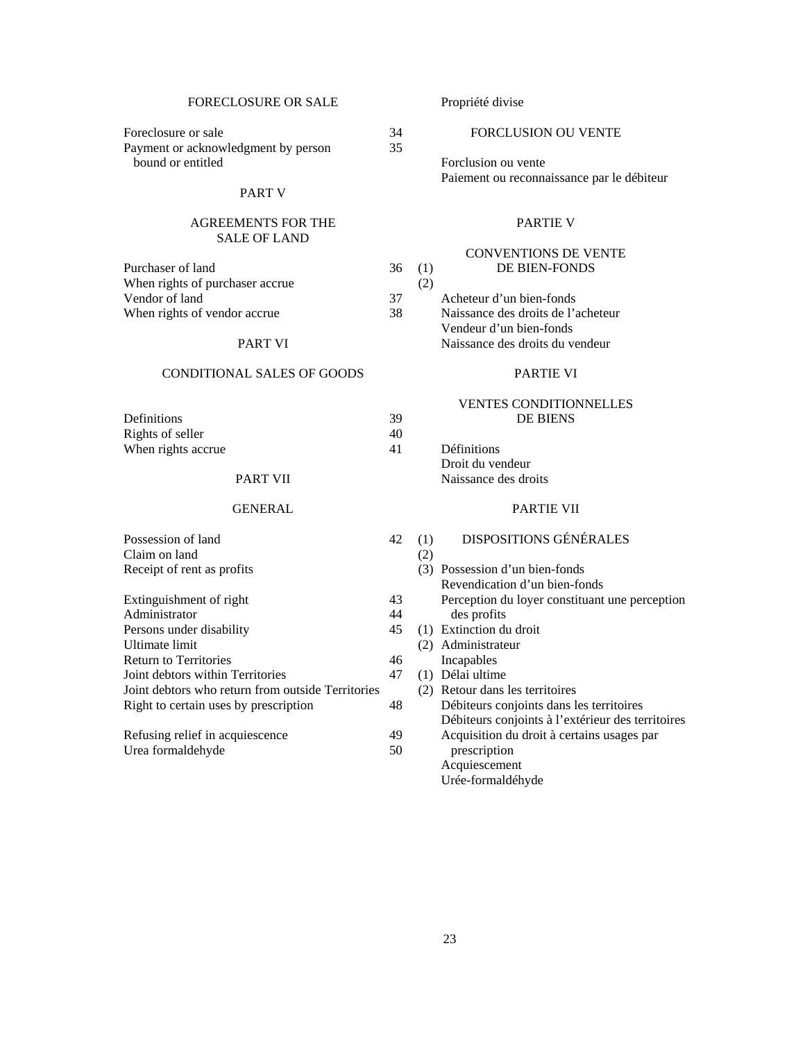### FORECLOSURE OR SALE Foreclosure or sale 34 Payment or acknowledgment by person 35 bound or entitled PART V AGREEMENTS FOR THE SALE OF LAND Purchaser of land 36 (1) When rights of purchaser accrue (2)<br>Vendor of land (37) Vendor of land When rights of vendor accrue 38 PART VI CONDITIONAL SALES OF GOODS Definitions 39 Rights of seller 40 When rights accrue 41 PART VII GENERAL Possession of land 42 (1)  $Claim on land$  (2) Receipt of rent as profits Extinguishment of right 43 Administrator 44 Persons under disability Ultimate limit Return to Territories 46 Joint debtors within Territories 47 Joint debtors who return from outside Territories Right to certain uses by prescription 48 Propriété divise FORCLUSION OU VENTE Forclusion ou vente Paiement ou reconnaissance par le débiteur PARTIE V CONVENTIONS DE VENTE DE BIEN-FONDS Acheteur d'un bien-fonds Naissance des droits de l'acheteur Vendeur d'un bien-fonds Naissance des droits du vendeur PARTIE VI VENTES CONDITIONNELLES DE BIENS Définitions Droit du vendeur Naissance des droits PARTIE VII DISPOSITIONS GÉNÉRALES Possession d'un bien-fonds Revendication d'un bien-fonds des profits 45 (1) Extinction du droit Administrateur Incapables Délai ultime Retour dans les territoires

| Refusing relief in acquiescence | 49 |
|---------------------------------|----|
| Urea formaldehyde               | 50 |

Perception du loyer constituant une perception Débiteurs conjoints dans les territoires Débiteurs conjoints à l'extérieur des territoires Acquisition du droit à certains usages par prescription Acquiescement

# Urée-formaldéhyde